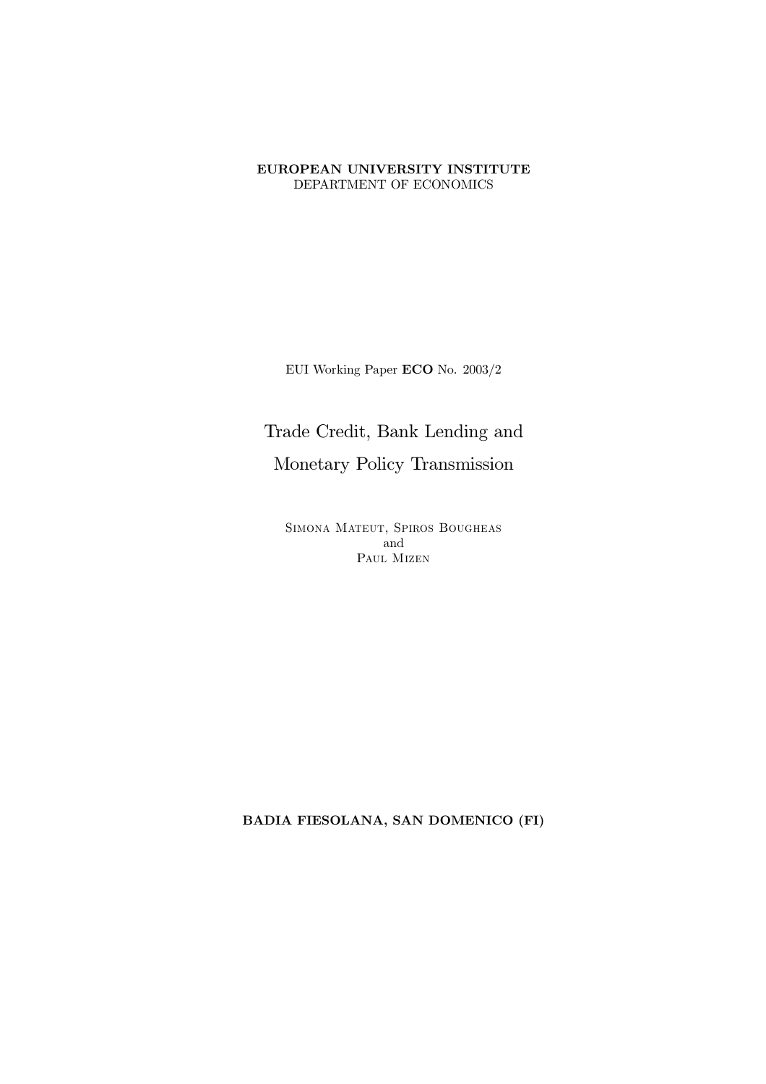#### EUROPEAN UNIVERSITY INSTITUTE DEPARTMENT OF ECONOMICS

EUI Working Paper ECO No. 2003/2

# Trade Credit, Bank Lending and

Monetary Policy Transmission

SIMONA MATEUT, SPIROS BOUGHEAS and PAUL MIZEN

BADIA FIESOLANA, SAN DOMENICO (FI)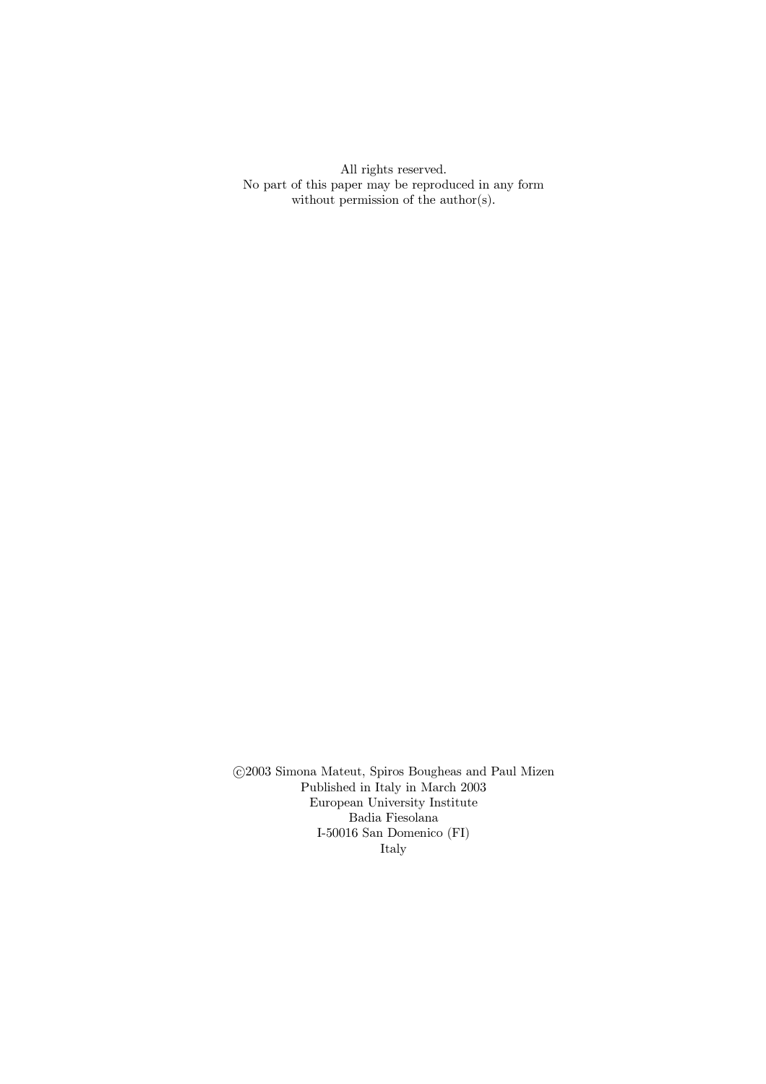All rights reserved. No part of this paper may be reproduced in any form without permission of the author(s).

©2003 Simona Mateut, Spiros Bougheas and Paul Mizen Published in Italy in March 2003 European University Institute  $% \left\vert \cdot \right\rangle$ Badia Fiesolana $\,$ I-50016 San Domenico (FI) Italy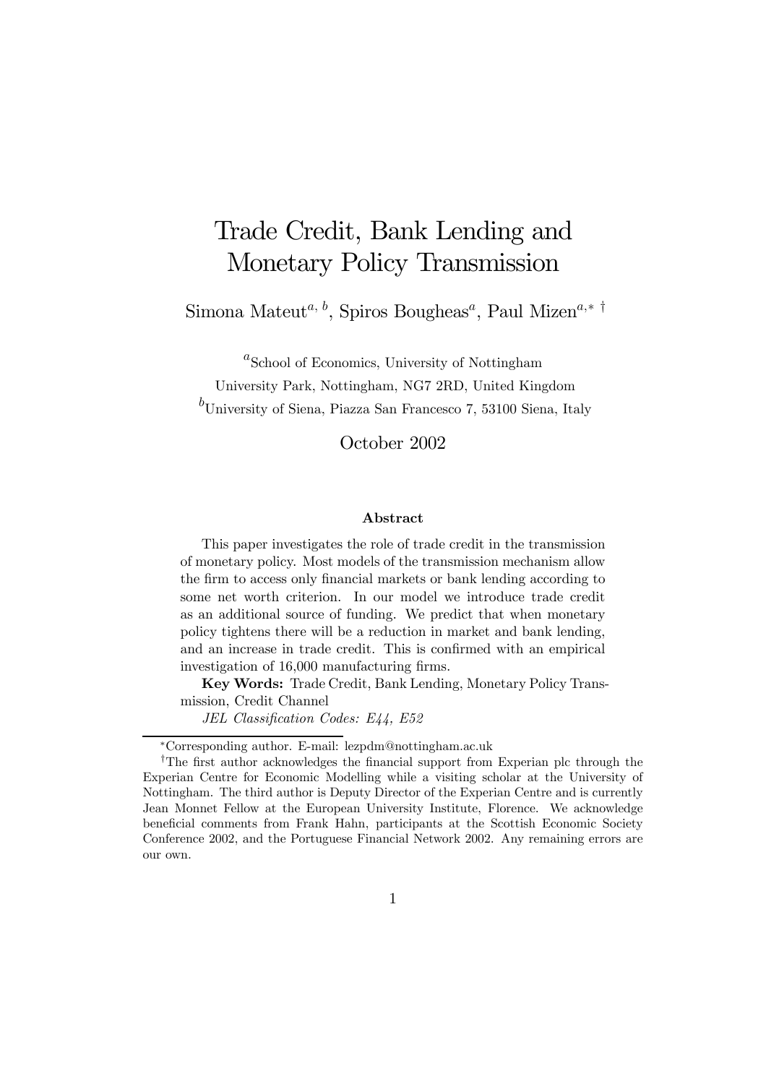# Trade Credit, Bank Lending and Monetary Policy Transmission

Simona Mateut<sup>a, b</sup>, Spiros Bougheas<sup>a</sup>, Paul Mizen<sup>a,∗†</sup>

 $a<sup>a</sup>$ School of Economics, University of Nottingham University Park, Nottingham, NG7 2RD, United Kingdom

 ${}^{b}$ University of Siena, Piazza San Francesco 7, 53100 Siena, Italy

October 2002

#### Abstract

This paper investigates the role of trade credit in the transmission of monetary policy. Most models of the transmission mechanism allow the firm to access only financial markets or bank lending according to some net worth criterion. In our model we introduce trade credit as an additional source of funding. We predict that when monetary policy tightens there will be a reduction in market and bank lending, and an increase in trade credit. This is confirmed with an empirical investigation of 16,000 manufacturing firms.

Key Words: Trade Credit, Bank Lending, Monetary Policy Transmission, Credit Channel

JEL Classification Codes: E44, E52

<sup>∗</sup>Corresponding author. E-mail: lezpdm@nottingham.ac.uk

<sup>†</sup>The first author acknowledges the financial support from Experian plc through the Experian Centre for Economic Modelling while a visiting scholar at the University of Nottingham. The third author is Deputy Director of the Experian Centre and is currently Jean Monnet Fellow at the European University Institute, Florence. We acknowledge beneficial comments from Frank Hahn, participants at the Scottish Economic Society Conference 2002, and the Portuguese Financial Network 2002. Any remaining errors are our own.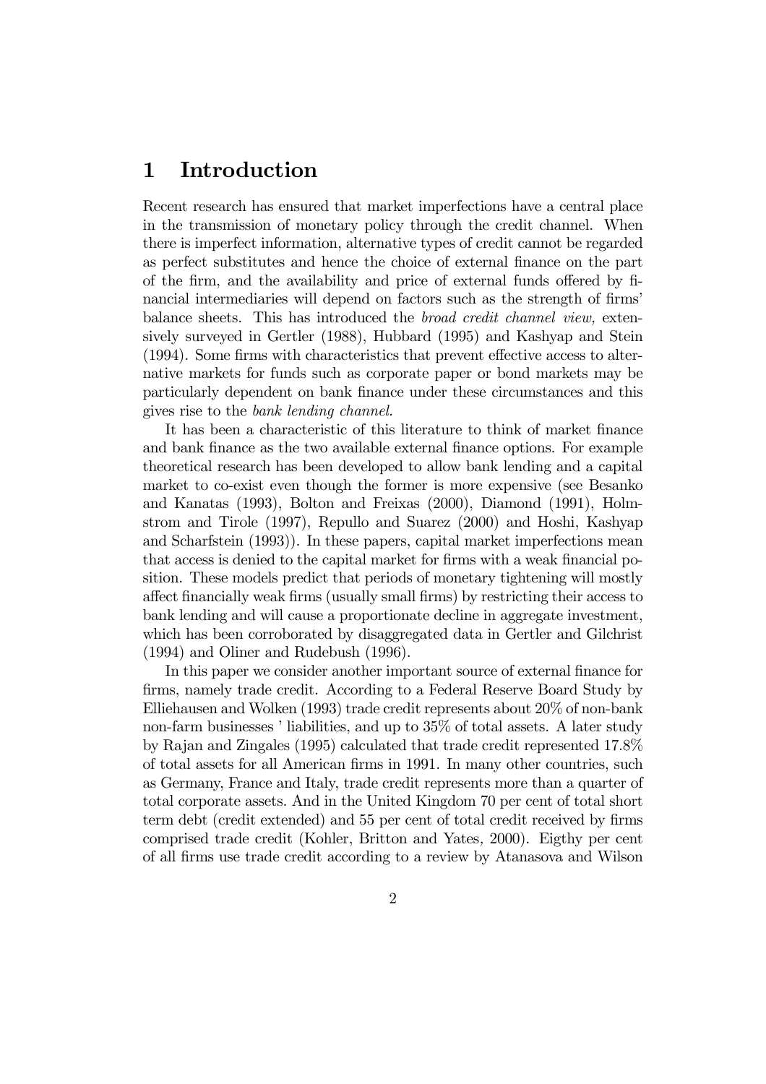# 1 Introduction

Recent research has ensured that market imperfections have a central place in the transmission of monetary policy through the credit channel. When there is imperfect information, alternative types of credit cannot be regarded as perfect substitutes and hence the choice of external finance on the part of the firm, and the availability and price of external funds offered by financial intermediaries will depend on factors such as the strength of firms' balance sheets. This has introduced the broad credit channel view, extensively surveyed in Gertler (1988), Hubbard (1995) and Kashyap and Stein (1994). Some firms with characteristics that prevent effective access to alternative markets for funds such as corporate paper or bond markets may be particularly dependent on bank finance under these circumstances and this gives rise to the bank lending channel.

It has been a characteristic of this literature to think of market finance and bank finance as the two available external finance options. For example theoretical research has been developed to allow bank lending and a capital market to co-exist even though the former is more expensive (see Besanko and Kanatas (1993), Bolton and Freixas (2000), Diamond (1991), Holmstrom and Tirole (1997), Repullo and Suarez (2000) and Hoshi, Kashyap and Scharfstein (1993)). In these papers, capital market imperfections mean that access is denied to the capital market for firms with a weak financial position. These models predict that periods of monetary tightening will mostly affect financially weak firms (usually small firms) by restricting their access to bank lending and will cause a proportionate decline in aggregate investment, which has been corroborated by disaggregated data in Gertler and Gilchrist (1994) and Oliner and Rudebush (1996).

In this paper we consider another important source of external finance for firms, namely trade credit. According to a Federal Reserve Board Study by Elliehausen and Wolken (1993) trade credit represents about 20% of non-bank non-farm businesses ' liabilities, and up to 35% of total assets. A later study by Rajan and Zingales (1995) calculated that trade credit represented 17.8% of total assets for all American firms in 1991. In many other countries, such as Germany, France and Italy, trade credit represents more than a quarter of total corporate assets. And in the United Kingdom 70 per cent of total short term debt (credit extended) and 55 per cent of total credit received by firms comprised trade credit (Kohler, Britton and Yates, 2000). Eigthy per cent of all firms use trade credit according to a review by Atanasova and Wilson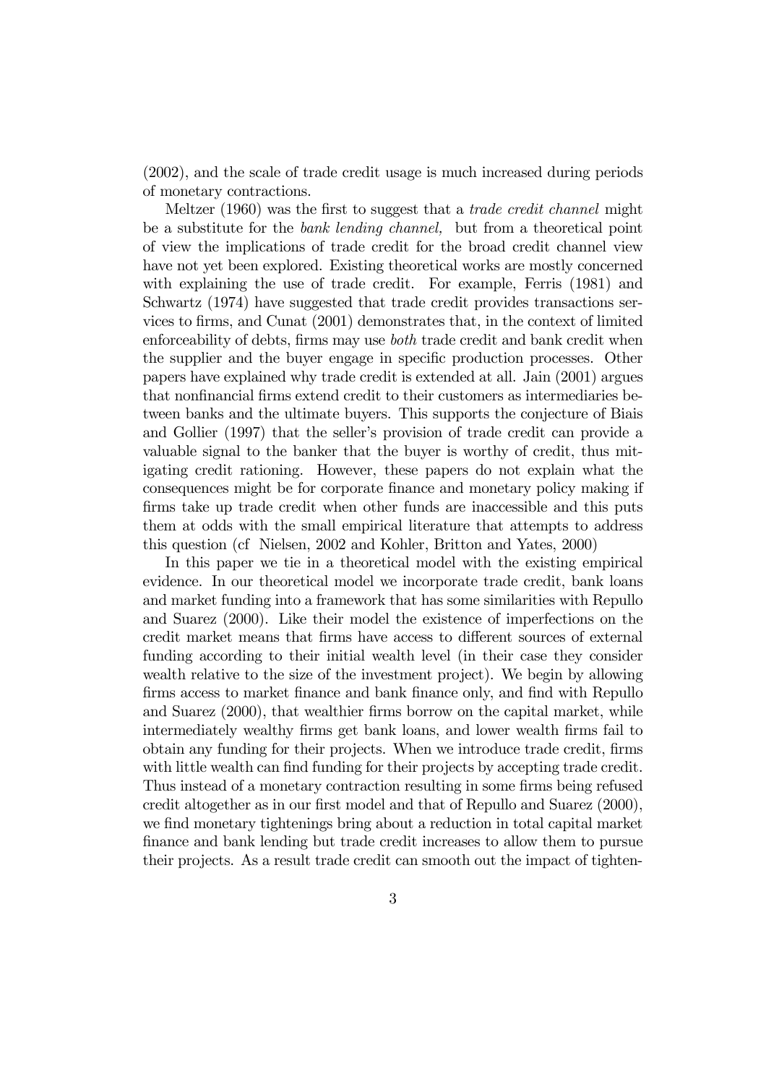(2002), and the scale of trade credit usage is much increased during periods of monetary contractions.

Meltzer (1960) was the first to suggest that a *trade credit channel* might be a substitute for the bank lending channel, but from a theoretical point of view the implications of trade credit for the broad credit channel view have not yet been explored. Existing theoretical works are mostly concerned with explaining the use of trade credit. For example, Ferris (1981) and Schwartz (1974) have suggested that trade credit provides transactions services to firms, and Cunat (2001) demonstrates that, in the context of limited enforceability of debts, firms may use both trade credit and bank credit when the supplier and the buyer engage in specific production processes. Other papers have explained why trade credit is extended at all. Jain (2001) argues that nonfinancial firms extend credit to their customers as intermediaries between banks and the ultimate buyers. This supports the conjecture of Biais and Gollier (1997) that the seller's provision of trade credit can provide a valuable signal to the banker that the buyer is worthy of credit, thus mitigating credit rationing. However, these papers do not explain what the consequences might be for corporate finance and monetary policy making if firms take up trade credit when other funds are inaccessible and this puts them at odds with the small empirical literature that attempts to address this question (cf Nielsen, 2002 and Kohler, Britton and Yates, 2000)

In this paper we tie in a theoretical model with the existing empirical evidence. In our theoretical model we incorporate trade credit, bank loans and market funding into a framework that has some similarities with Repullo and Suarez (2000). Like their model the existence of imperfections on the credit market means that firms have access to different sources of external funding according to their initial wealth level (in their case they consider wealth relative to the size of the investment project). We begin by allowing firms access to market finance and bank finance only, and find with Repullo and Suarez (2000), that wealthier firms borrow on the capital market, while intermediately wealthy firms get bank loans, and lower wealth firms fail to obtain any funding for their projects. When we introduce trade credit, firms with little wealth can find funding for their projects by accepting trade credit. Thus instead of a monetary contraction resulting in some firms being refused credit altogether as in our first model and that of Repullo and Suarez (2000), we find monetary tightenings bring about a reduction in total capital market finance and bank lending but trade credit increases to allow them to pursue their projects. As a result trade credit can smooth out the impact of tighten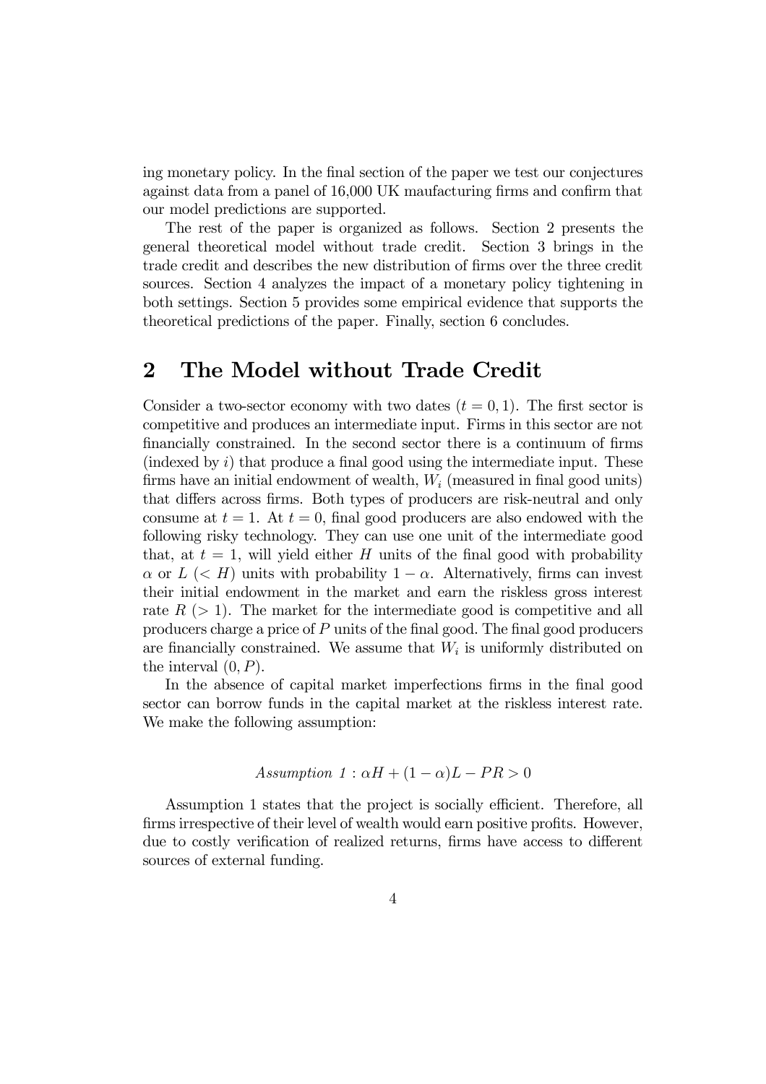ing monetary policy. In the final section of the paper we test our conjectures against data from a panel of 16,000 UK maufacturing firms and confirm that our model predictions are supported.

The rest of the paper is organized as follows. Section 2 presents the general theoretical model without trade credit. Section 3 brings in the trade credit and describes the new distribution of firms over the three credit sources. Section 4 analyzes the impact of a monetary policy tightening in both settings. Section 5 provides some empirical evidence that supports the theoretical predictions of the paper. Finally, section 6 concludes.

### 2 The Model without Trade Credit

Consider a two-sector economy with two dates  $(t = 0, 1)$ . The first sector is competitive and produces an intermediate input. Firms in this sector are not financially constrained. In the second sector there is a continuum of firms (indexed by  $i$ ) that produce a final good using the intermediate input. These firms have an initial endowment of wealth,  $W_i$  (measured in final good units) that differs across firms. Both types of producers are risk-neutral and only consume at  $t = 1$ . At  $t = 0$ , final good producers are also endowed with the following risky technology. They can use one unit of the intermediate good that, at  $t = 1$ , will yield either H units of the final good with probability  $\alpha$  or  $L \leq H$ ) units with probability  $1 - \alpha$ . Alternatively, firms can invest their initial endowment in the market and earn the riskless gross interest rate  $R$  ( $> 1$ ). The market for the intermediate good is competitive and all producers charge a price of P units of the final good. The final good producers are financially constrained. We assume that  $W_i$  is uniformly distributed on the interval  $(0, P)$ .

In the absence of capital market imperfections firms in the final good sector can borrow funds in the capital market at the riskless interest rate. We make the following assumption:

Assumption 1: 
$$
\alpha H + (1 - \alpha)L - PR > 0
$$

Assumption 1 states that the project is socially efficient. Therefore, all firms irrespective of their level of wealth would earn positive profits. However, due to costly verification of realized returns, firms have access to different sources of external funding.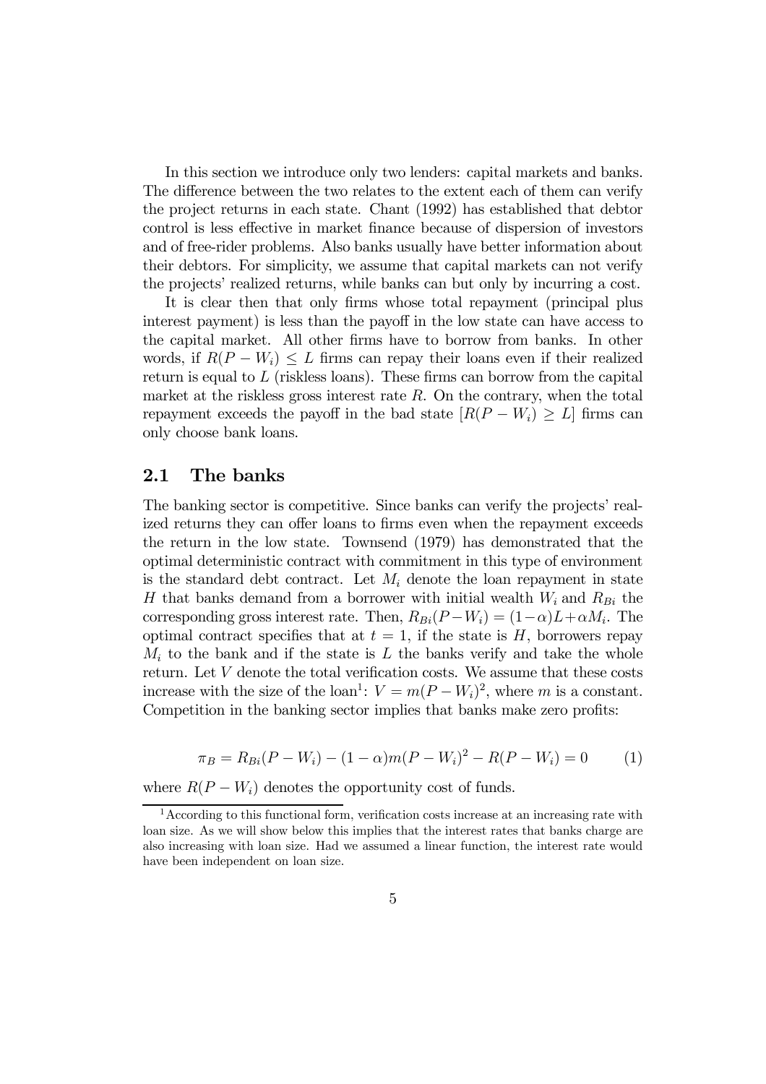In this section we introduce only two lenders: capital markets and banks. The difference between the two relates to the extent each of them can verify the project returns in each state. Chant (1992) has established that debtor control is less effective in market finance because of dispersion of investors and of free-rider problems. Also banks usually have better information about their debtors. For simplicity, we assume that capital markets can not verify the projects' realized returns, while banks can but only by incurring a cost.

It is clear then that only firms whose total repayment (principal plus interest payment) is less than the payoff in the low state can have access to the capital market. All other firms have to borrow from banks. In other words, if  $R(P - W_i) \leq L$  firms can repay their loans even if their realized return is equal to  $L$  (riskless loans). These firms can borrow from the capital market at the riskless gross interest rate  $R$ . On the contrary, when the total repayment exceeds the payoff in the bad state  $[R(P - W_i) \geq L]$  firms can only choose bank loans.

#### 2.1 The banks

The banking sector is competitive. Since banks can verify the projects' realized returns they can offer loans to firms even when the repayment exceeds the return in the low state. Townsend (1979) has demonstrated that the optimal deterministic contract with commitment in this type of environment is the standard debt contract. Let  $M_i$  denote the loan repayment in state H that banks demand from a borrower with initial wealth  $W_i$  and  $R_{Bi}$  the corresponding gross interest rate. Then,  $R_{Bi}(P - W_i) = (1 - \alpha)L + \alpha M_i$ . The optimal contract specifies that at  $t = 1$ , if the state is H, borrowers repay  $M_i$  to the bank and if the state is L the banks verify and take the whole return. Let  $V$  denote the total verification costs. We assume that these costs increase with the size of the loan<sup>1</sup>:  $V = m(P - W_i)^2$ , where m is a constant. Competition in the banking sector implies that banks make zero profits:

$$
\pi_B = R_{Bi}(P - W_i) - (1 - \alpha)m(P - W_i)^2 - R(P - W_i) = 0 \tag{1}
$$

where  $R(P - W_i)$  denotes the opportunity cost of funds.

<sup>&</sup>lt;sup>1</sup> According to this functional form, verification costs increase at an increasing rate with loan size. As we will show below this implies that the interest rates that banks charge are also increasing with loan size. Had we assumed a linear function, the interest rate would have been independent on loan size.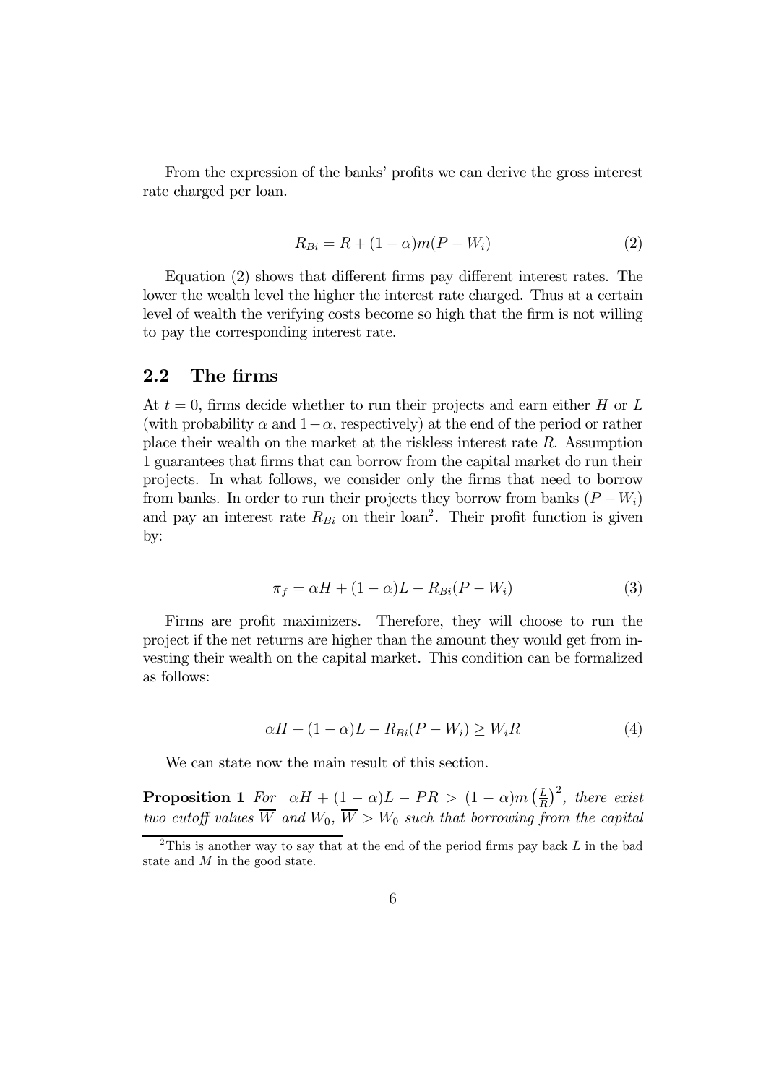From the expression of the banks' profits we can derive the gross interest rate charged per loan.

$$
R_{Bi} = R + (1 - \alpha)m(P - W_i)
$$
 (2)

Equation (2) shows that different firms pay different interest rates. The lower the wealth level the higher the interest rate charged. Thus at a certain level of wealth the verifying costs become so high that the firm is not willing to pay the corresponding interest rate.

#### 2.2 The firms

At  $t = 0$ , firms decide whether to run their projects and earn either H or L (with probability  $\alpha$  and  $1-\alpha$ , respectively) at the end of the period or rather place their wealth on the market at the riskless interest rate  $R$ . Assumption 1 guarantees that firms that can borrow from the capital market do run their projects. In what follows, we consider only the firms that need to borrow from banks. In order to run their projects they borrow from banks  $(P - W_i)$ and pay an interest rate  $R_{Bi}$  on their loan<sup>2</sup>. Their profit function is given by:

$$
\pi_f = \alpha H + (1 - \alpha)L - R_{Bi}(P - W_i)
$$
\n(3)

Firms are profit maximizers. Therefore, they will choose to run the project if the net returns are higher than the amount they would get from investing their wealth on the capital market. This condition can be formalized as follows:

$$
\alpha H + (1 - \alpha)L - R_{Bi}(P - W_i) \ge W_i R \tag{4}
$$

We can state now the main result of this section.

**Proposition 1** For  $\alpha H + (1 - \alpha)L - PR > (1 - \alpha)m\left(\frac{L}{R}\right)^2$ , there exist two cutoff values  $\overline{W}$  and  $W_0$ ,  $\overline{W} > W_0$  such that borrowing from the capital

<sup>&</sup>lt;sup>2</sup>This is another way to say that at the end of the period firms pay back  $L$  in the bad state and M in the good state.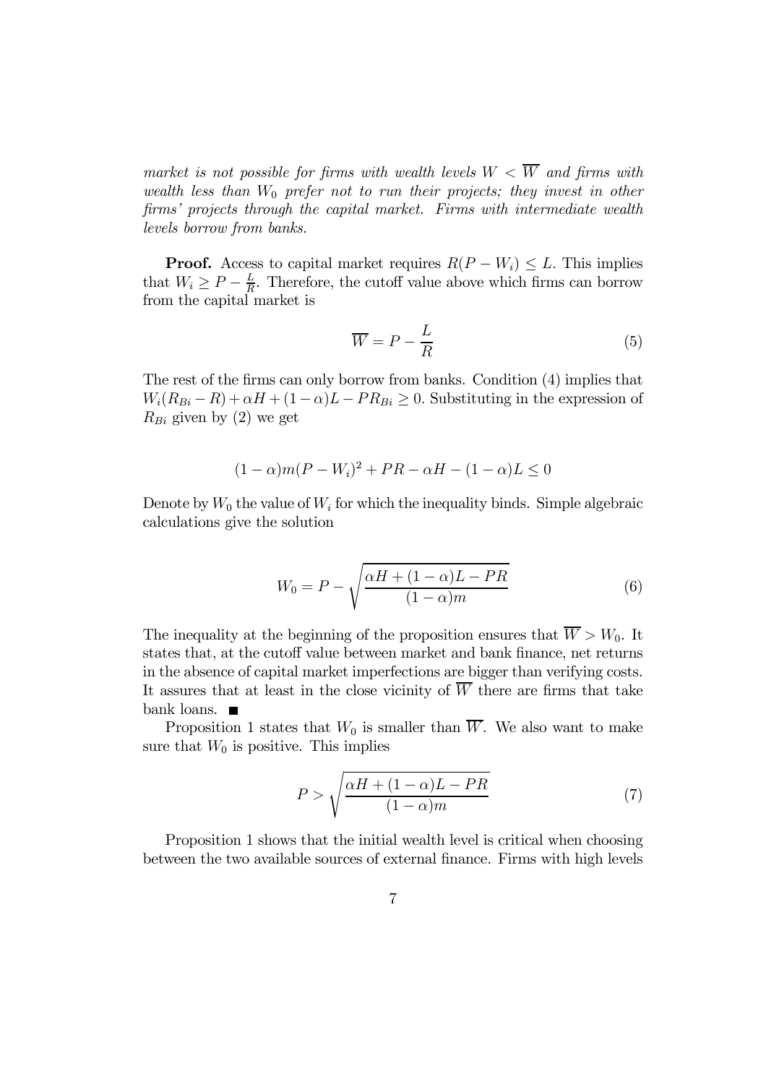market is not possible for firms with wealth levels  $W < \overline{W}$  and firms with wealth less than  $W_0$  prefer not to run their projects; they invest in other firms' projects through the capital market. Firms with intermediate wealth levels borrow from banks.

**Proof.** Access to capital market requires  $R(P - W_i) \leq L$ . This implies that  $W_i \ge P - \frac{L}{R}$ . Therefore, the cutoff value above which firms can borrow from the capital market is

$$
\overline{W} = P - \frac{L}{R} \tag{5}
$$

The rest of the firms can only borrow from banks. Condition (4) implies that  $W_i(R_{Bi} - R) + \alpha H + (1 - \alpha)L - PR_{Bi} \geq 0$ . Substituting in the expression of  $R_{Bi}$  given by (2) we get

$$
(1 - \alpha)m(P - W_i)^2 + PR - \alpha H - (1 - \alpha)L \le 0
$$

Denote by  $W_0$  the value of  $W_i$  for which the inequality binds. Simple algebraic calculations give the solution

$$
W_0 = P - \sqrt{\frac{\alpha H + (1 - \alpha)L - PR}{(1 - \alpha)m}}
$$
\n(6)

The inequality at the beginning of the proposition ensures that  $\overline{W} > W_0$ . It states that, at the cutoff value between market and bank finance, net returns in the absence of capital market imperfections are bigger than verifying costs. It assures that at least in the close vicinity of  $\overline{W}$  there are firms that take bank loans.

Proposition 1 states that  $W_0$  is smaller than  $\overline{W}$ . We also want to make sure that  $W_0$  is positive. This implies

$$
P > \sqrt{\frac{\alpha H + (1 - \alpha)L - PR}{(1 - \alpha)m}}
$$
\n(7)

Proposition 1 shows that the initial wealth level is critical when choosing between the two available sources of external finance. Firms with high levels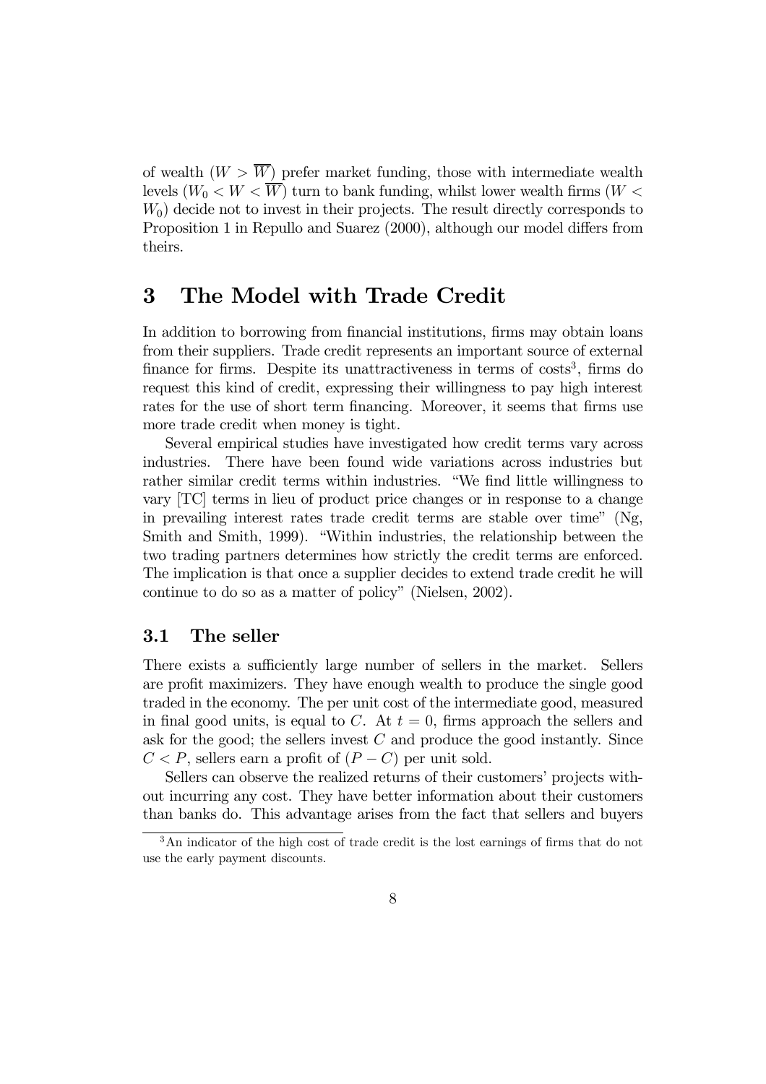of wealth  $(W > \overline{W})$  prefer market funding, those with intermediate wealth levels  $(W_0 < W < \overline{W})$  turn to bank funding, whilst lower wealth firms  $(W <$  $W_0$ ) decide not to invest in their projects. The result directly corresponds to Proposition 1 in Repullo and Suarez (2000), although our model differs from theirs.

# 3 The Model with Trade Credit

In addition to borrowing from financial institutions, firms may obtain loans from their suppliers. Trade credit represents an important source of external finance for firms. Despite its unattractiveness in terms of  $\cos\theta$ , firms do request this kind of credit, expressing their willingness to pay high interest rates for the use of short term financing. Moreover, it seems that firms use more trade credit when money is tight.

Several empirical studies have investigated how credit terms vary across industries. There have been found wide variations across industries but rather similar credit terms within industries. "We find little willingness to vary [TC] terms in lieu of product price changes or in response to a change in prevailing interest rates trade credit terms are stable over time" (Ng, Smith and Smith, 1999). "Within industries, the relationship between the two trading partners determines how strictly the credit terms are enforced. The implication is that once a supplier decides to extend trade credit he will continue to do so as a matter of policy" (Nielsen, 2002).

### 3.1 The seller

There exists a sufficiently large number of sellers in the market. Sellers are profit maximizers. They have enough wealth to produce the single good traded in the economy. The per unit cost of the intermediate good, measured in final good units, is equal to C. At  $t = 0$ , firms approach the sellers and ask for the good; the sellers invest  $C$  and produce the good instantly. Since  $C < P$ , sellers earn a profit of  $(P - C)$  per unit sold.

Sellers can observe the realized returns of their customers' projects without incurring any cost. They have better information about their customers than banks do. This advantage arises from the fact that sellers and buyers

<sup>&</sup>lt;sup>3</sup>An indicator of the high cost of trade credit is the lost earnings of firms that do not use the early payment discounts.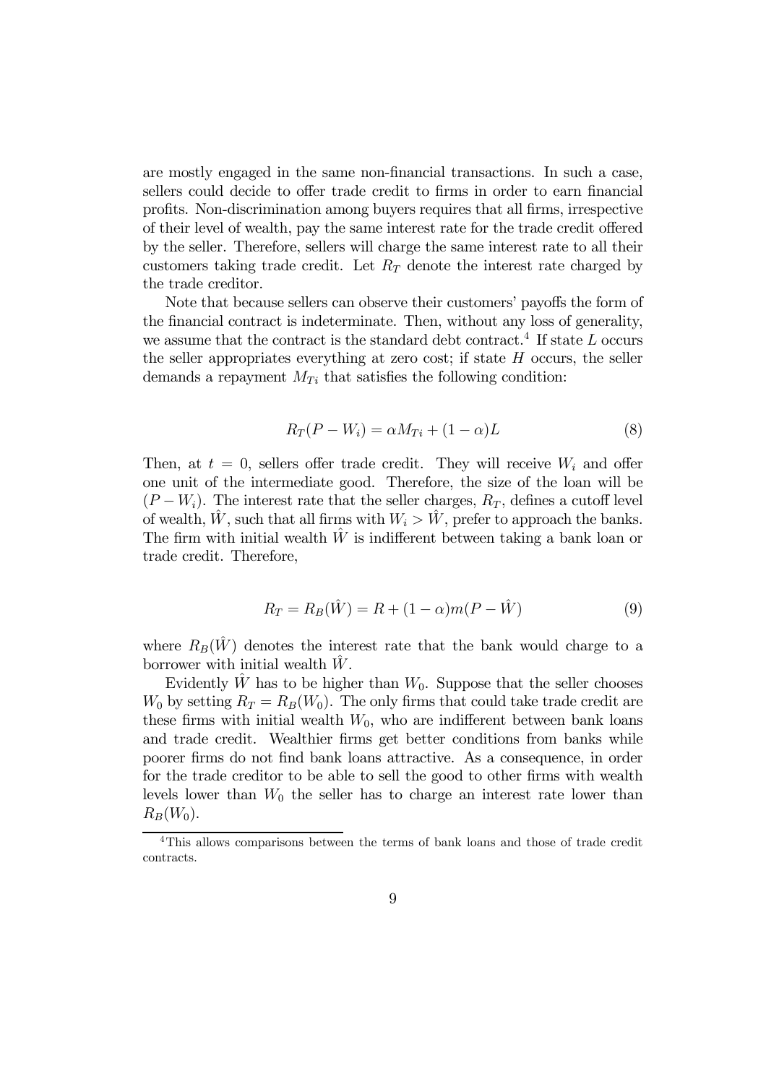are mostly engaged in the same non-financial transactions. In such a case, sellers could decide to offer trade credit to firms in order to earn financial profits. Non-discrimination among buyers requires that all firms, irrespective of their level of wealth, pay the same interest rate for the trade credit offered by the seller. Therefore, sellers will charge the same interest rate to all their customers taking trade credit. Let  $R_T$  denote the interest rate charged by the trade creditor.

Note that because sellers can observe their customers' payoffs the form of the financial contract is indeterminate. Then, without any loss of generality, we assume that the contract is the standard debt contract.<sup>4</sup> If state  $L$  occurs the seller appropriates everything at zero cost; if state  $H$  occurs, the seller demands a repayment  $M_{Ti}$  that satisfies the following condition:

$$
R_T(P - W_i) = \alpha M_{Ti} + (1 - \alpha)L \tag{8}
$$

Then, at  $t = 0$ , sellers offer trade credit. They will receive  $W_i$  and offer one unit of the intermediate good. Therefore, the size of the loan will be  $(P - W_i)$ . The interest rate that the seller charges,  $R_T$ , defines a cutoff level of wealth,  $\hat{W}$ , such that all firms with  $W_i > \hat{W}$ , prefer to approach the banks. The firm with initial wealth  $\hat{W}$  is indifferent between taking a bank loan or trade credit. Therefore,

$$
R_T = R_B(\hat{W}) = R + (1 - \alpha)m(P - \hat{W})
$$
\n(9)

where  $R_B(\hat{W})$  denotes the interest rate that the bank would charge to a borrower with initial wealth  $\hat{W}$ .

Evidently  $\hat{W}$  has to be higher than  $W_0$ . Suppose that the seller chooses  $W_0$  by setting  $R_T = R_B(W_0)$ . The only firms that could take trade credit are these firms with initial wealth  $W_0$ , who are indifferent between bank loans and trade credit. Wealthier firms get better conditions from banks while poorer firms do not find bank loans attractive. As a consequence, in order for the trade creditor to be able to sell the good to other firms with wealth levels lower than  $W_0$  the seller has to charge an interest rate lower than  $R_B(W_0)$ .

<sup>4</sup>This allows comparisons between the terms of bank loans and those of trade credit contracts.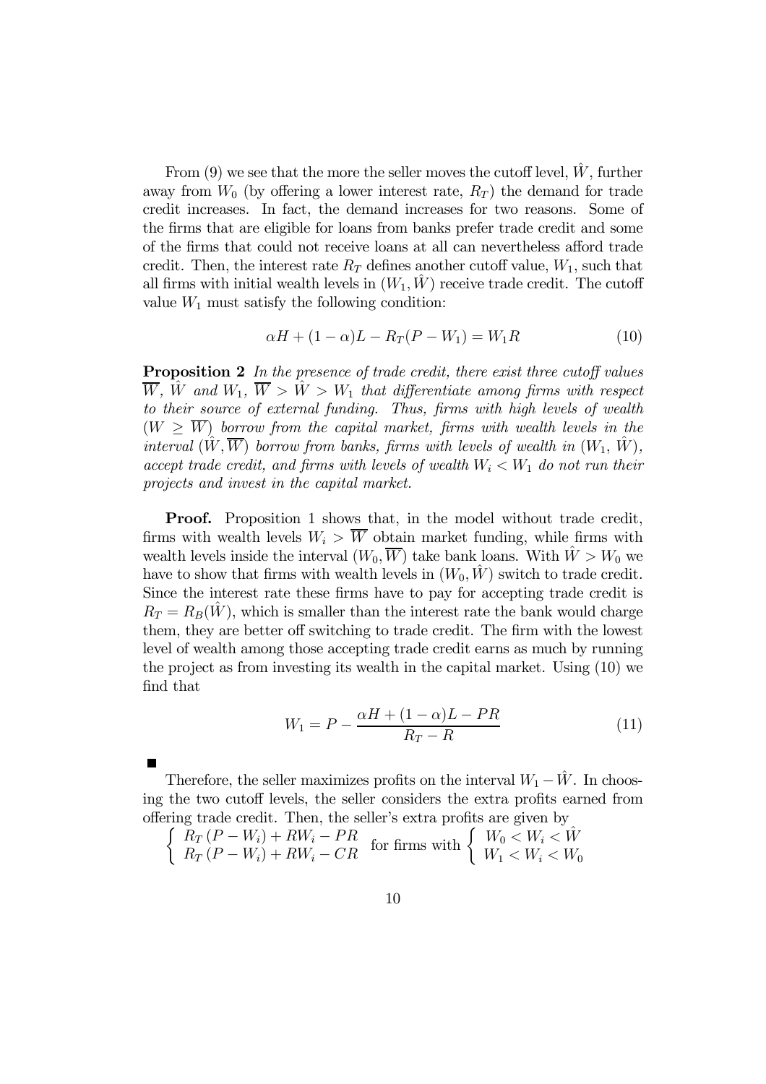From (9) we see that the more the seller moves the cutoff level,  $\hat{W}$ , further away from  $W_0$  (by offering a lower interest rate,  $R_T$ ) the demand for trade credit increases. In fact, the demand increases for two reasons. Some of the firms that are eligible for loans from banks prefer trade credit and some of the firms that could not receive loans at all can nevertheless afford trade credit. Then, the interest rate  $R_T$  defines another cutoff value,  $W_1$ , such that all firms with initial wealth levels in  $(W_1, W)$  receive trade credit. The cutoff value  $W_1$  must satisfy the following condition:

$$
\alpha H + (1 - \alpha)L - R_T(P - W_1) = W_1 R \tag{10}
$$

Proposition 2 In the presence of trade credit, there exist three cutoff values  $\overline{W}$ ,  $\hat{W}$  and  $W_1$ ,  $\overline{W} > \hat{W} > W_1$  that differentiate among firms with respect to their source of external funding. Thus, firms with high levels of wealth  $(W \geq \overline{W})$  borrow from the capital market, firms with wealth levels in the interval  $(\hat{W}, \overline{W})$  borrow from banks, firms with levels of wealth in  $(W_1, \hat{W})$ , accept trade credit, and firms with levels of wealth  $W_i < W_1$  do not run their projects and invest in the capital market.

Proof. Proposition 1 shows that, in the model without trade credit, firms with wealth levels  $W_i > \overline{W}$  obtain market funding, while firms with wealth levels inside the interval  $(W_0, \overline{W})$  take bank loans. With  $\hat{W} > W_0$  we have to show that firms with wealth levels in  $(W_0, \hat{W})$  switch to trade credit. Since the interest rate these firms have to pay for accepting trade credit is  $R_T = R_B(W)$ , which is smaller than the interest rate the bank would charge them, they are better off switching to trade credit. The firm with the lowest level of wealth among those accepting trade credit earns as much by running the project as from investing its wealth in the capital market. Using (10) we find that

$$
W_1 = P - \frac{\alpha H + (1 - \alpha)L - PR}{R_T - R}
$$
\n<sup>(11)</sup>

Therefore, the seller maximizes profits on the interval  $W_1 - \hat{W}$ . In choosing the two cutoff levels, the seller considers the extra profits earned from offering trade credit. Then, the seller's extra pro fits are given by

 $\left\{\begin{array}{l} R_T\left(P-W_i\right)+RW_i-PR\\ R_T\left(P-W_i\right)+RW_i-CR \end{array}\right. \text{ for firms with } \left\{\begin{array}{l} W_0 < W_i < \hat{W}\\ W_1 < W_i < W_0 \end{array}\right.$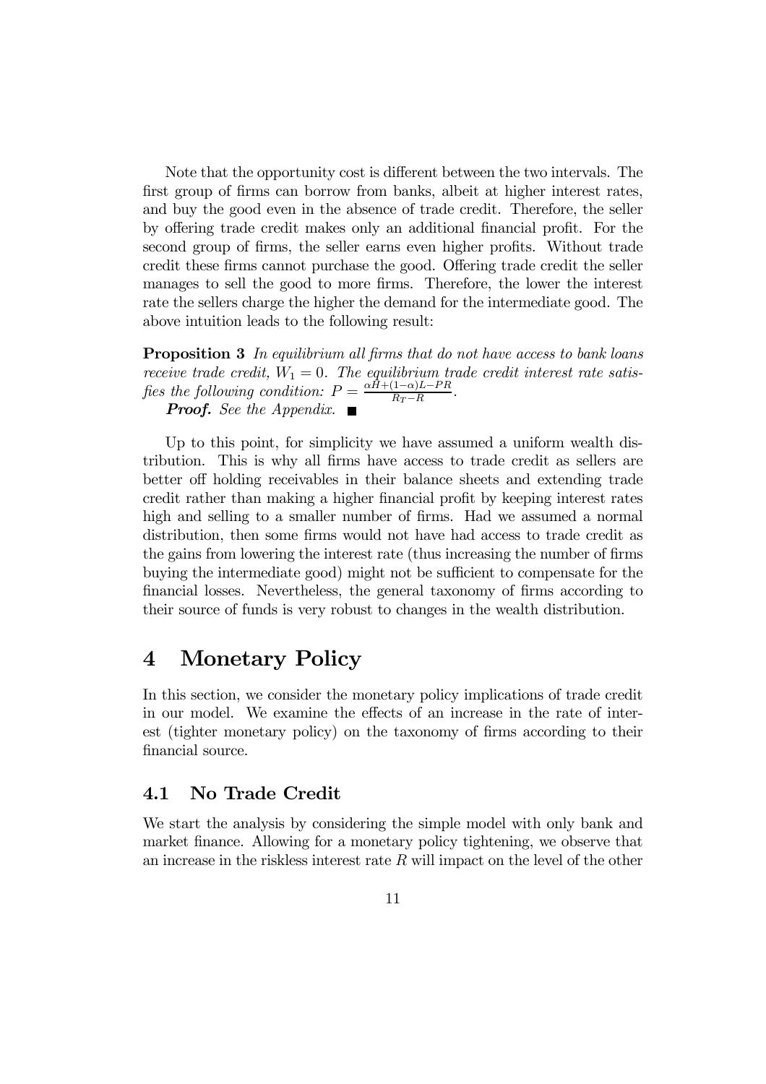Note that the opportunity cost is different between the two intervals. The first group of firms can borrow from banks, albeit at higher interest rates, and buy the good even in the absence of trade credit. Therefore, the seller by offering trade credit makes only an additional financial profit. For the second group of firms, the seller earns even higher profits. Without trade credit these firms cannot purchase the good. Offering trade credit the seller manages to sell the good to more firms. Therefore, the lower the interest rate the sellers charge the higher the demand for the intermediate good. The above intuition leads to the following result:

**Proposition 3** In equilibrium all firms that do not have access to bank loans receive trade credit,  $W_1 = 0$ . The equilibrium trade credit interest rate satisfies the following condition:  $P = \frac{\alpha H + (1-\alpha)L - PR}{R_T - R}$ . **Proof.** See the Appendix.  $\blacksquare$ 

Up to this point, for simplicity we have assumed a uniform wealth distribution. This is why all firms have access to trade credit as sellers are better off holding receivables in their balance sheets and extending trade credit rather than making a higher financial profit by keeping interest rates high and selling to a smaller number of firms. Had we assumed a normal distribution, then some firms would not have had access to trade credit as the gains from lowering the interest rate (thus increasing the number of firms buying the intermediate good) might not be sufficient to compensate for the financial losses. Nevertheless, the general taxonomy of firms according to their source of funds is very robust to changes in the wealth distribution.

## 4 Monetary Policy

In this section, we consider the monetary policy implications of trade credit in our model. We examine the effects of an increase in the rate of interest (tighter monetary policy) on the taxonomy of firms according to their financial source.

### 4.1 No Trade Credit

We start the analysis by considering the simple model with only bank and market finance. Allowing for a monetary policy tightening, we observe that an increase in the riskless interest rate  $R$  will impact on the level of the other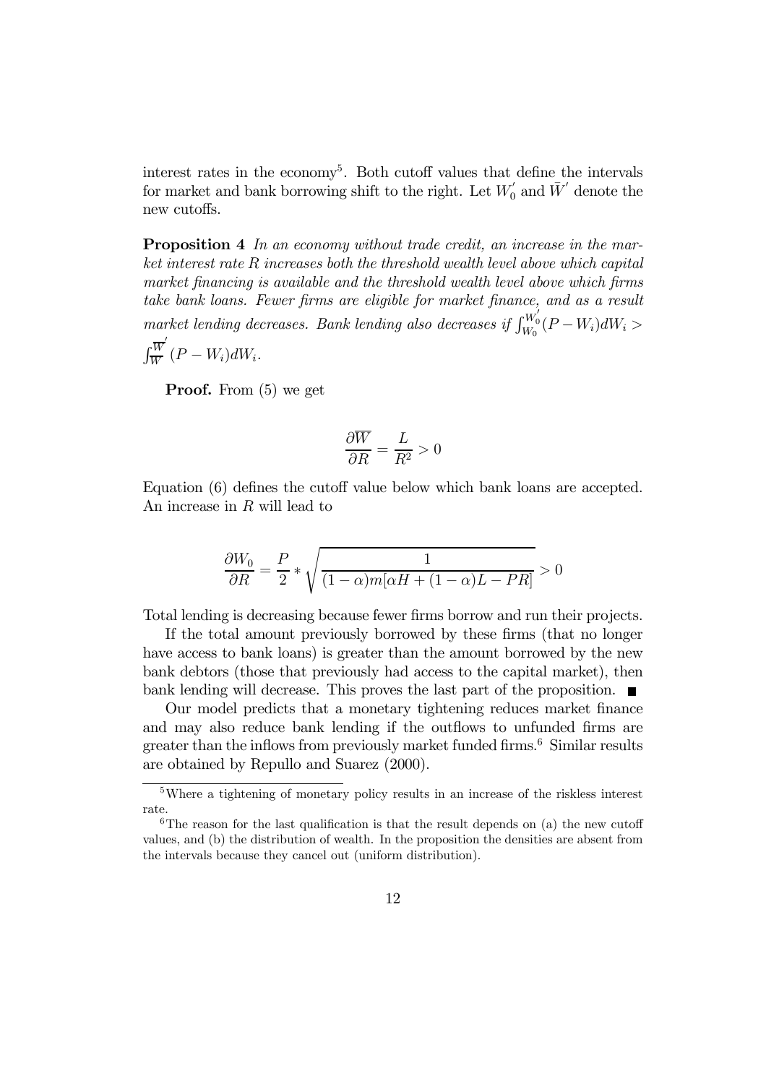interest rates in the economy<sup>5</sup>. Both cutoff values that define the intervals for market and bank borrowing shift to the right. Let  $W'_0$  and  $\bar{W}'$  denote the new cutoffs.

Proposition 4 In an economy without trade credit, an increase in the market interest rate R increases both the threshold wealth level above which capital market financing is available and the threshold wealth level above which firms take bank loans. Fewer firms are eligible for market finance, and as a result market lending decreases. Bank lending also decreases if  $\int_{W_0}^{W_0'} (P - W_i) dW_i >$  $\int \frac{\overline{W}}{\overline{W}}$ 

$$
\int_{\overline{W}}^W (P - W_i) dW_i.
$$

Proof. From (5) we get

$$
\frac{\partial \overline{W}}{\partial R} = \frac{L}{R^2} > 0
$$

Equation (6) defines the cutoff value below which bank loans are accepted. An increase in R will lead to

$$
\frac{\partial W_0}{\partial R} = \frac{P}{2} * \sqrt{\frac{1}{(1-\alpha)m[\alpha H + (1-\alpha)L - PR]}} > 0
$$

Total lending is decreasing because fewer firms borrow and run their projects.

If the total amount previously borrowed by these firms (that no longer have access to bank loans) is greater than the amount borrowed by the new bank debtors (those that previously had access to the capital market), then bank lending will decrease. This proves the last part of the proposition.  $\blacksquare$ 

Our model predicts that a monetary tightening reduces market finance and may also reduce bank lending if the outflows to unfunded firms are greater than the inflows from previously market funded firms.<sup>6</sup> Similar results are obtained by Repullo and Suarez (2000).

<sup>5</sup>Where a tightening of monetary policy results in an increase of the riskless interest rate.

 ${}^{6}$ The reason for the last qualification is that the result depends on (a) the new cutoff values, and (b) the distribution of wealth. In the proposition the densities are absent from the intervals because they cancel out (uniform distribution).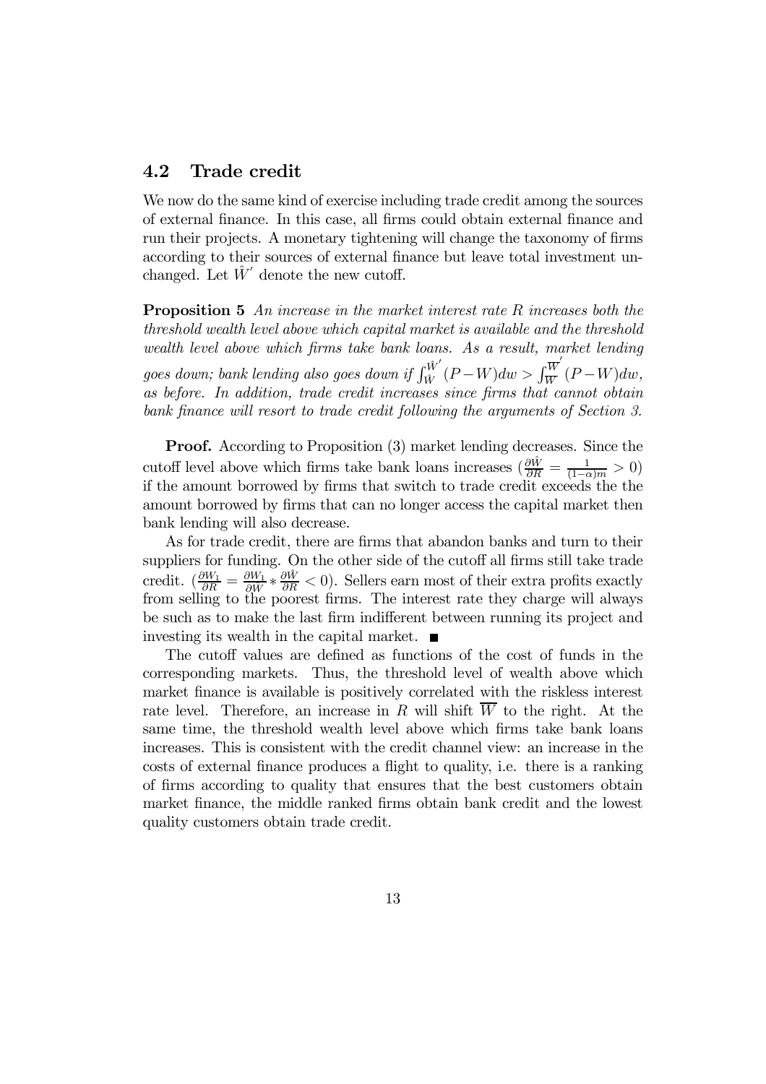#### 4.2 Trade credit

We now do the same kind of exercise including trade credit among the sources of external finance. In this case, all firms could obtain external finance and run their projects. A monetary tightening will change the taxonomy of firms according to their sources of external finance but leave total investment unchanged. Let  $\hat{W}'$  denote the new cutoff.

**Proposition 5** An increase in the market interest rate R increases both the threshold wealth level above which capital market is available and the threshold wealth level above which firms take bank loans. As a result, market lending goes down; bank lending also goes down if  $\int_{\hat{W}}^{\hat{W}'}(P-W)dw > \int_{\overline{W}}^{\overline{W}'}(P-W)dw$ , as before. In addition, trade credit increases since firms that cannot obtain bank finance will resort to trade credit following the arguments of Section 3.

Proof. According to Proposition (3) market lending decreases. Since the cutoff level above which firms take bank loans increases  $\left(\frac{\partial \hat{W}}{\partial R} = \frac{1}{(1-\alpha)m} > 0\right)$ if the amount borrowed by firms that switch to trade credit exceeds the the amount borrowed by firms that can no longer access the capital market then bank lending will also decrease.

As for trade credit, there are firms that abandon banks and turn to their suppliers for funding. On the other side of the cutoff all firms still take trade credit.  $\left(\frac{\partial W_1}{\partial R} = \frac{\partial W_1}{\partial \hat{W}} * \frac{\partial \hat{W}}{\partial R} < 0\right)$ . Sellers earn most of their extra profits exactly from selling to the poorest firms. The interest rate they charge will always be such as to make the last firm indifferent between running its project and investing its wealth in the capital market.  $\blacksquare$ 

The cutoff values are defined as functions of the cost of funds in the corresponding markets. Thus, the threshold level of wealth above which market finance is available is positively correlated with the riskless interest rate level. Therefore, an increase in R will shift  $\overline{W}$  to the right. At the same time, the threshold wealth level above which firms take bank loans increases. This is consistent with the credit channel view: an increase in the costs of external finance produces a flight to quality, i.e. there is a ranking of firms according to quality that ensures that the best customers obtain market finance, the middle ranked firms obtain bank credit and the lowest quality customers obtain trade credit.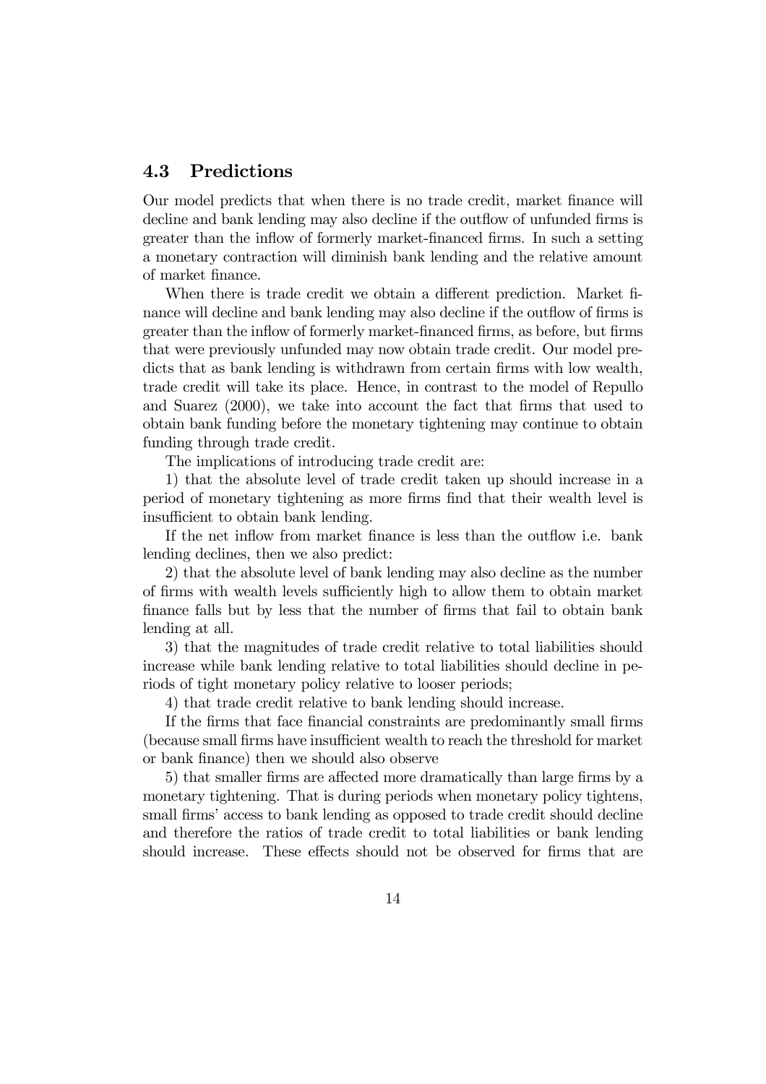### 4.3 Predictions

Our model predicts that when there is no trade credit, market finance will decline and bank lending may also decline if the outflow of unfunded firms is greater than the inflow of formerly market-financed firms. In such a setting a monetary contraction will diminish bank lending and the relative amount of market finance.

When there is trade credit we obtain a different prediction. Market finance will decline and bank lending may also decline if the outflow of firms is greater than the inflow of formerly market-financed firms, as before, but firms that were previously unfunded may now obtain trade credit. Our model predicts that as bank lending is withdrawn from certain firms with low wealth, trade credit will take its place. Hence, in contrast to the model of Repullo and Suarez (2000), we take into account the fact that firms that used to obtain bank funding before the monetary tightening may continue to obtain funding through trade credit.

The implications of introducing trade credit are:

1) that the absolute level of trade credit taken up should increase in a period of monetary tightening as more firms find that their wealth level is insufficient to obtain bank lending.

If the net inflow from market finance is less than the outflow i.e. bank lending declines, then we also predict:

2) that the absolute level of bank lending may also decline as the number of firms with wealth levels sufficiently high to allow them to obtain market finance falls but by less that the number of firms that fail to obtain bank lending at all.

3) that the magnitudes of trade credit relative to total liabilities should increase while bank lending relative to total liabilities should decline in periods of tight monetary policy relative to looser periods;

4) that trade credit relative to bank lending should increase.

If the firms that face financial constraints are predominantly small firms (because small firms have insufficient wealth to reach the threshold for market or bank finance) then we should also observe

5) that smaller firms are affected more dramatically than large firms by a monetary tightening. That is during periods when monetary policy tightens, small firms' access to bank lending as opposed to trade credit should decline and therefore the ratios of trade credit to total liabilities or bank lending should increase. These effects should not be observed for firms that are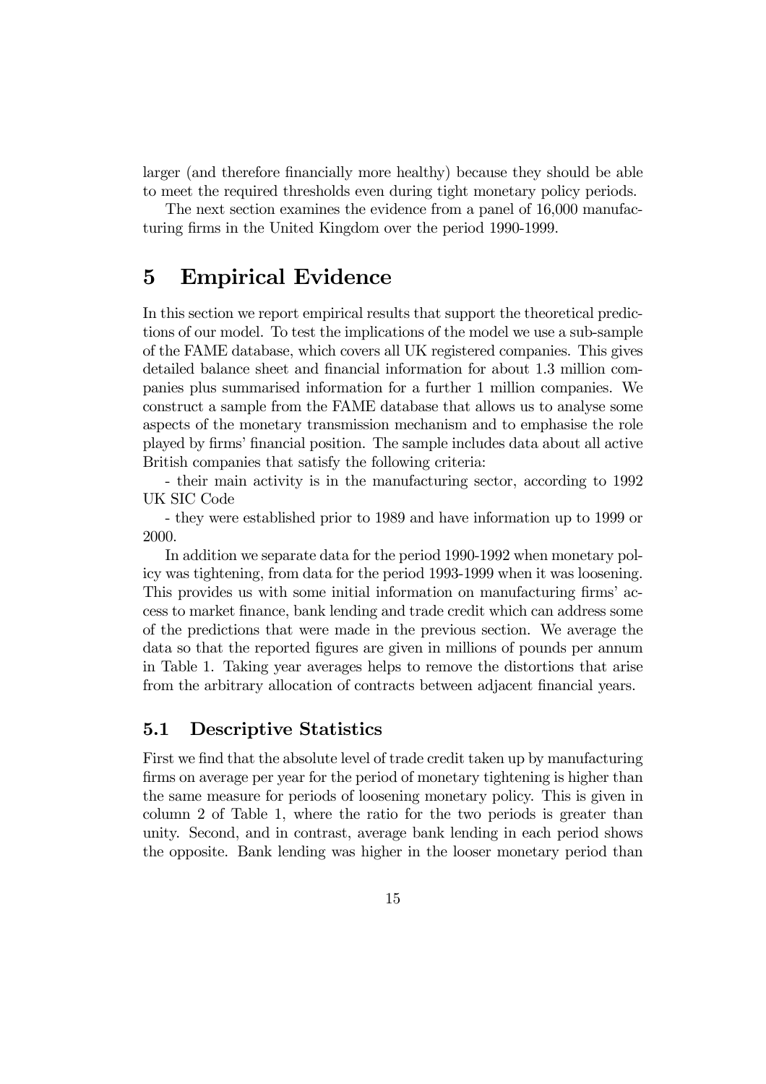larger (and therefore financially more healthy) because they should be able to meet the required thresholds even during tight monetary policy periods.

The next section examines the evidence from a panel of 16,000 manufacturing firms in the United Kingdom over the period 1990-1999.

# 5 Empirical Evidence

In this section we report empirical results that support the theoretical predictions of our model. To test the implications of the model we use a sub-sample of the FAME database, which covers all UK registered companies. This gives detailed balance sheet and financial information for about 1.3 million companies plus summarised information for a further 1 million companies. We construct a sample from the FAME database that allows us to analyse some aspects of the monetary transmission mechanism and to emphasise the role played by firms' financial position. The sample includes data about all active British companies that satisfy the following criteria:

- their main activity is in the manufacturing sector, according to 1992 UK SIC Code

- they were established prior to 1989 and have information up to 1999 or 2000.

In addition we separate data for the period 1990-1992 when monetary policy was tightening, from data for the period 1993-1999 when it was loosening. This provides us with some initial information on manufacturing firms' access to market finance, bank lending and trade credit which can address some of the predictions that were made in the previous section. We average the data so that the reported figures are given in millions of pounds per annum in Table 1. Taking year averages helps to remove the distortions that arise from the arbitrary allocation of contracts between adjacent financial years.

### 5.1 Descriptive Statistics

First we find that the absolute level of trade credit taken up by manufacturing firms on average per year for the period of monetary tightening is higher than the same measure for periods of loosening monetary policy. This is given in column 2 of Table 1, where the ratio for the two periods is greater than unity. Second, and in contrast, average bank lending in each period shows the opposite. Bank lending was higher in the looser monetary period than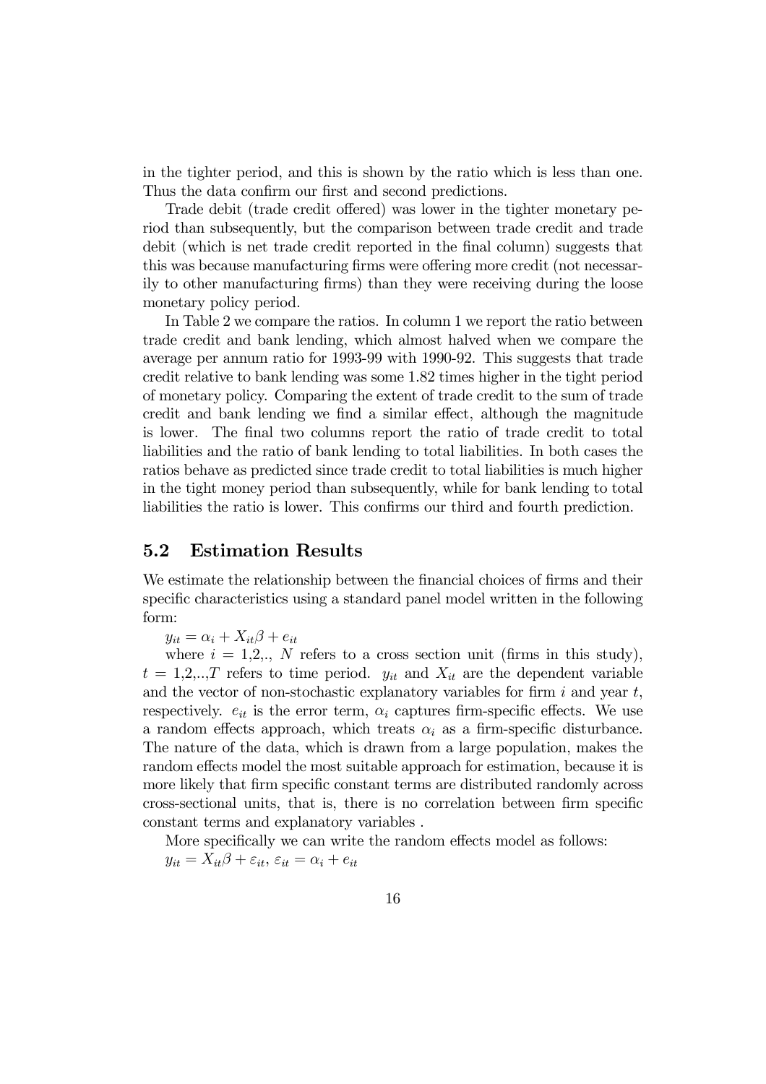in the tighter period, and this is shown by the ratio which is less than one. Thus the data confirm our first and second predictions.

Trade debit (trade credit offered) was lower in the tighter monetary period than subsequently, but the comparison between trade credit and trade debit (which is net trade credit reported in the final column) suggests that this was because manufacturing firms were offering more credit (not necessarily to other manufacturing firms) than they were receiving during the loose monetary policy period.

In Table 2 we compare the ratios. In column 1 we report the ratio between trade credit and bank lending, which almost halved when we compare the average per annum ratio for 1993-99 with 1990-92. This suggests that trade credit relative to bank lending was some 1.82 times higher in the tight period of monetary policy. Comparing the extent of trade credit to the sum of trade credit and bank lending we find a similar effect, although the magnitude is lower. The final two columns report the ratio of trade credit to total liabilities and the ratio of bank lending to total liabilities. In both cases the ratios behave as predicted since trade credit to total liabilities is much higher in the tight money period than subsequently, while for bank lending to total liabilities the ratio is lower. This confirms our third and fourth prediction.

### 5.2 Estimation Results

We estimate the relationship between the financial choices of firms and their specific characteristics using a standard panel model written in the following form:

 $y_{it} = \alpha_i + X_{it}\beta + e_{it}$ 

where  $i = 1, 2, \ldots, N$  refers to a cross section unit (firms in this study),  $t = 1, 2, \ldots, T$  refers to time period.  $y_{it}$  and  $X_{it}$  are the dependent variable and the vector of non-stochastic explanatory variables for firm  $i$  and year  $t$ , respectively.  $e_{it}$  is the error term,  $\alpha_i$  captures firm-specific effects. We use a random effects approach, which treats  $\alpha_i$  as a firm-specific disturbance. The nature of the data, which is drawn from a large population, makes the random effects model the most suitable approach for estimation, because it is more likely that firm specific constant terms are distributed randomly across cross-sectional units, that is, there is no correlation between firm specific constant terms and explanatory variables .

More specifically we can write the random effects model as follows:  $y_{it} = X_{it} \beta + \varepsilon_{it}, \, \varepsilon_{it} = \alpha_i + e_{it}$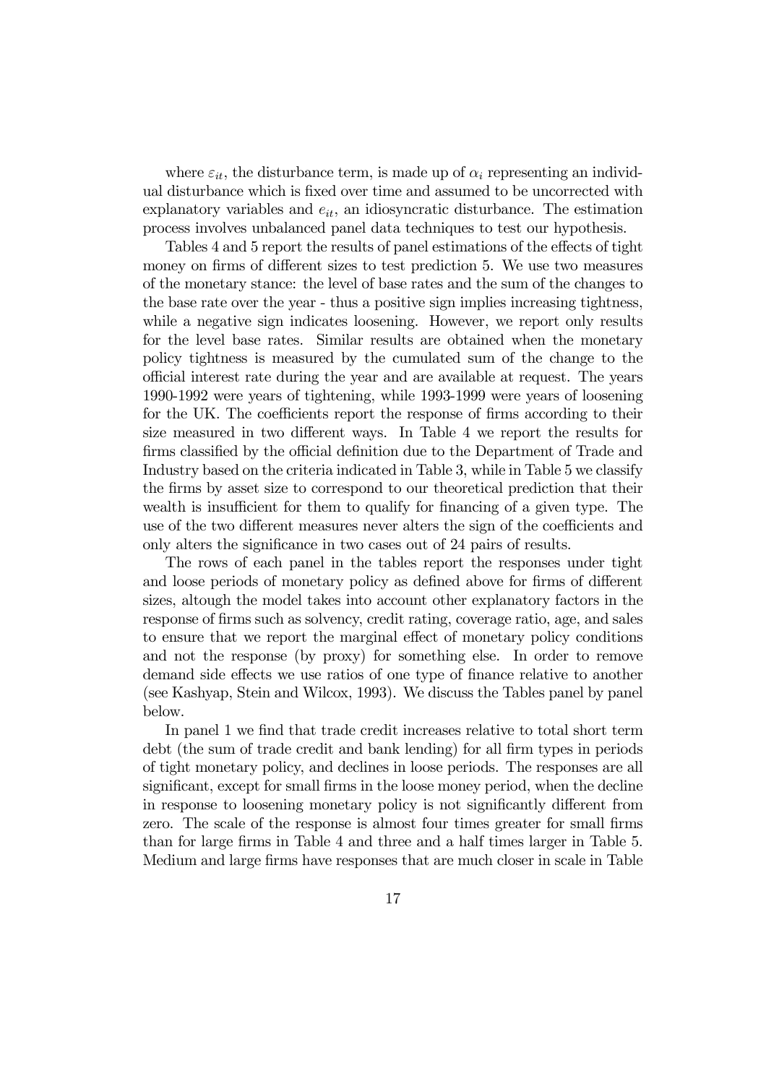where  $\varepsilon_{it}$ , the disturbance term, is made up of  $\alpha_i$  representing an individual disturbance which is fixed over time and assumed to be uncorrected with explanatory variables and  $e_{it}$ , an idiosyncratic disturbance. The estimation process involves unbalanced panel data techniques to test our hypothesis.

Tables 4 and 5 report the results of panel estimations of the effects of tight money on firms of different sizes to test prediction 5. We use two measures of the monetary stance: the level of base rates and the sum of the changes to the base rate over the year - thus a positive sign implies increasing tightness, while a negative sign indicates loosening. However, we report only results for the level base rates. Similar results are obtained when the monetary policy tightness is measured by the cumulated sum of the change to the official interest rate during the year and are available at request. The years 1990-1992 were years of tightening, while 1993-1999 were years of loosening for the UK. The coefficients report the response of firms according to their size measured in two different ways. In Table 4 we report the results for firms classified by the official definition due to the Department of Trade and Industry based on the criteria indicated in Table 3, while in Table 5 we classify the firms by asset size to correspond to our theoretical prediction that their wealth is insufficient for them to qualify for financing of a given type. The use of the two different measures never alters the sign of the coefficients and only alters the significance in two cases out of 24 pairs of results.

The rows of each panel in the tables report the responses under tight and loose periods of monetary policy as defined above for firms of different sizes, altough the model takes into account other explanatory factors in the response of firms such as solvency, credit rating, coverage ratio, age, and sales to ensure that we report the marginal effect of monetary policy conditions and not the response (by proxy) for something else. In order to remove demand side effects we use ratios of one type of finance relative to another (see Kashyap, Stein and Wilcox, 1993). We discuss the Tables panel by panel below.

In panel 1 we find that trade credit increases relative to total short term debt (the sum of trade credit and bank lending) for all firm types in periods of tight monetary policy, and declines in loose periods. The responses are all significant, except for small firms in the loose money period, when the decline in response to loosening monetary policy is not significantly different from zero. The scale of the response is almost four times greater for small firms than for large firms in Table 4 and three and a half times larger in Table 5. Medium and large firms have responses that are much closer in scale in Table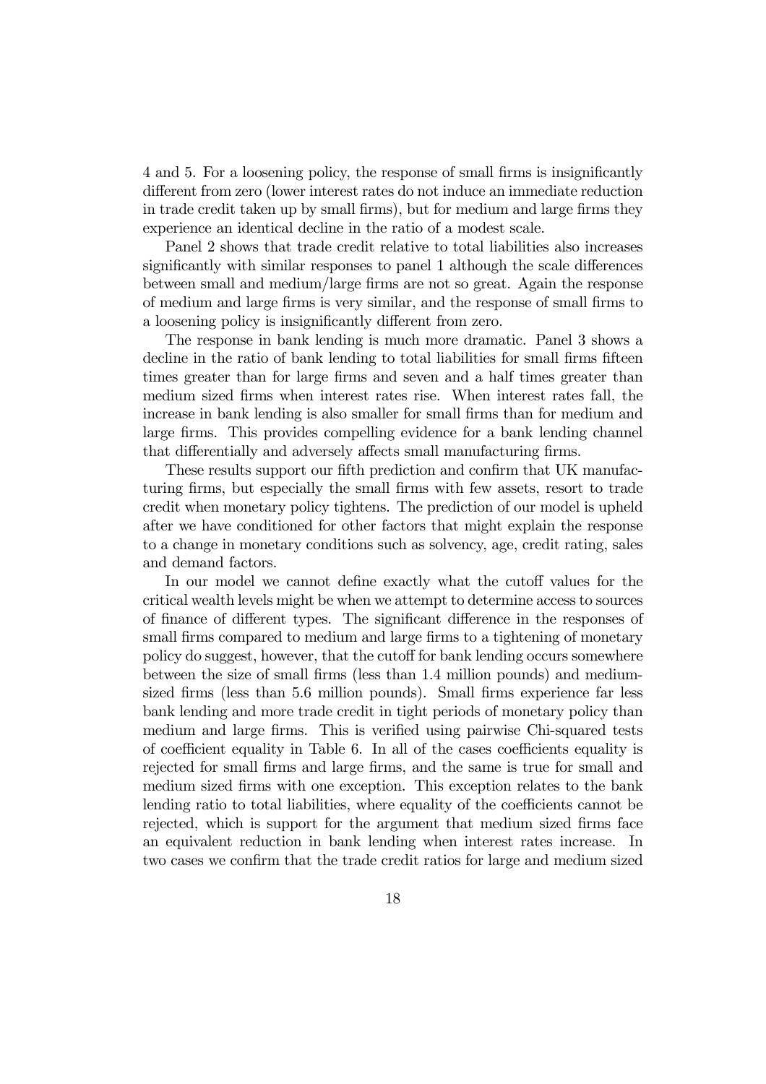4 and 5. For a loosening policy, the response of small firms is insignificantly different from zero (lower interest rates do not induce an immediate reduction in trade credit taken up by small firms), but for medium and large firms they experience an identical decline in the ratio of a modest scale.

Panel 2 shows that trade credit relative to total liabilities also increases significantly with similar responses to panel 1 although the scale differences between small and medium/large firms are not so great. Again the response of medium and large firms is very similar, and the response of small firms to a loosening policy is insignificantly different from zero.

The response in bank lending is much more dramatic. Panel 3 shows a decline in the ratio of bank lending to total liabilities for small firms fifteen times greater than for large firms and seven and a half times greater than medium sized firms when interest rates rise. When interest rates fall, the increase in bank lending is also smaller for small firms than for medium and large firms. This provides compelling evidence for a bank lending channel that differentially and adversely affects small manufacturing firms.

These results support our fifth prediction and confirm that UK manufacturing firms, but especially the small firms with few assets, resort to trade credit when monetary policy tightens. The prediction of our model is upheld after we have conditioned for other factors that might explain the response to a change in monetary conditions such as solvency, age, credit rating, sales and demand factors.

In our model we cannot define exactly what the cutoff values for the critical wealth levels might be when we attempt to determine access to sources of finance of different types. The significant difference in the responses of small firms compared to medium and large firms to a tightening of monetary policy do suggest, however, that the cutoff for bank lending occurs somewhere between the size of small firms (less than 1.4 million pounds) and mediumsized firms (less than 5.6 million pounds). Small firms experience far less bank lending and more trade credit in tight periods of monetary policy than medium and large firms. This is verified using pairwise Chi-squared tests of coefficient equality in Table 6. In all of the cases coefficients equality is rejected for small firms and large firms, and the same is true for small and medium sized firms with one exception. This exception relates to the bank lending ratio to total liabilities, where equality of the coefficients cannot be rejected, which is support for the argument that medium sized firms face an equivalent reduction in bank lending when interest rates increase. In two cases we confirm that the trade credit ratios for large and medium sized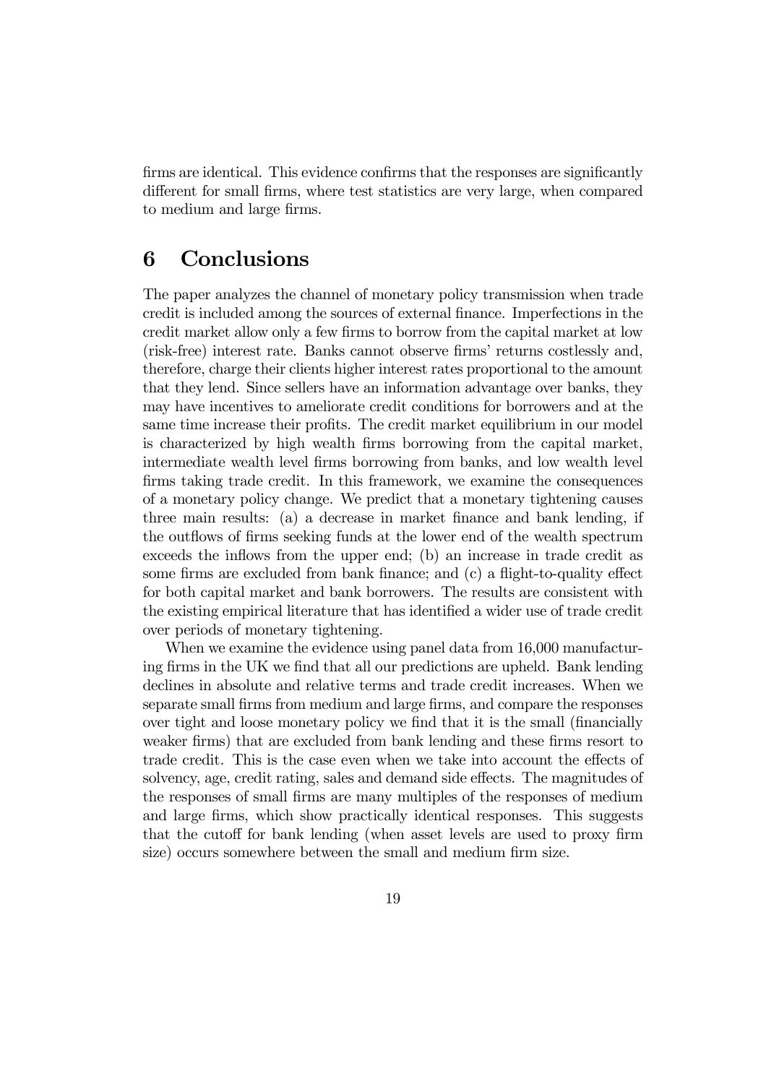firms are identical. This evidence confirms that the responses are significantly different for small firms, where test statistics are very large, when compared to medium and large firms.

# 6 Conclusions

The paper analyzes the channel of monetary policy transmission when trade credit is included among the sources of external finance. Imperfections in the credit market allow only a few firms to borrow from the capital market at low (risk-free) interest rate. Banks cannot observe firms' returns costlessly and, therefore, charge their clients higher interest rates proportional to the amount that they lend. Since sellers have an information advantage over banks, they may have incentives to ameliorate credit conditions for borrowers and at the same time increase their profits. The credit market equilibrium in our model is characterized by high wealth firms borrowing from the capital market, intermediate wealth level firms borrowing from banks, and low wealth level firms taking trade credit. In this framework, we examine the consequences of a monetary policy change. We predict that a monetary tightening causes three main results: (a) a decrease in market finance and bank lending, if the outflows of firms seeking funds at the lower end of the wealth spectrum exceeds the inflows from the upper end; (b) an increase in trade credit as some firms are excluded from bank finance; and (c) a flight-to-quality effect for both capital market and bank borrowers. The results are consistent with the existing empirical literature that has identified a wider use of trade credit over periods of monetary tightening.

When we examine the evidence using panel data from 16,000 manufacturing firms in the UK we find that all our predictions are upheld. Bank lending declines in absolute and relative terms and trade credit increases. When we separate small firms from medium and large firms, and compare the responses over tight and loose monetary policy we find that it is the small (financially weaker firms) that are excluded from bank lending and these firms resort to trade credit. This is the case even when we take into account the effects of solvency, age, credit rating, sales and demand side effects. The magnitudes of the responses of small firms are many multiples of the responses of medium and large firms, which show practically identical responses. This suggests that the cutoff for bank lending (when asset levels are used to proxy firm size) occurs somewhere between the small and medium firm size.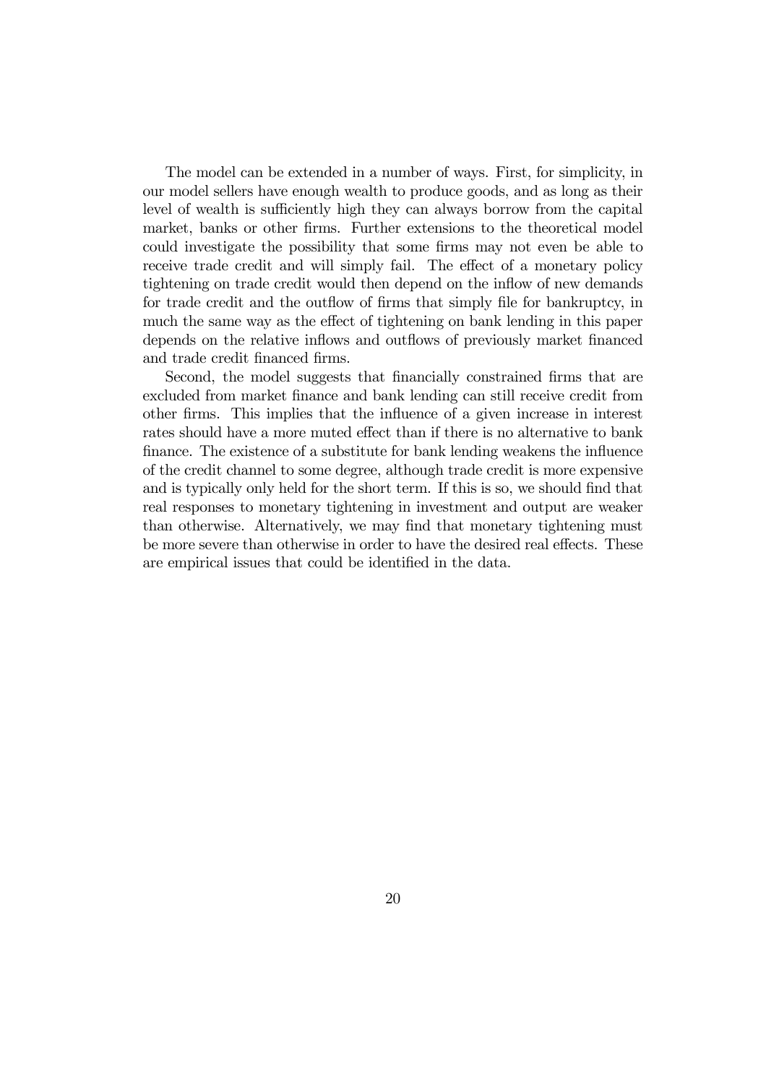The model can be extended in a number of ways. First, for simplicity, in our model sellers have enough wealth to produce goods, and as long as their level of wealth is sufficiently high they can always borrow from the capital market, banks or other firms. Further extensions to the theoretical model could investigate the possibility that some firms may not even be able to receive trade credit and will simply fail. The effect of a monetary policy tightening on trade credit would then depend on the inflow of new demands for trade credit and the outflow of firms that simply file for bankruptcy, in much the same way as the effect of tightening on bank lending in this paper depends on the relative inflows and outflows of previously market financed and trade credit financed firms.

Second, the model suggests that financially constrained firms that are excluded from market finance and bank lending can still receive credit from other firms. This implies that the influence of a given increase in interest rates should have a more muted effect than if there is no alternative to bank finance. The existence of a substitute for bank lending weakens the influence of the credit channel to some degree, although trade credit is more expensive and is typically only held for the short term. If this is so, we should find that real responses to monetary tightening in investment and output are weaker than otherwise. Alternatively, we may find that monetary tightening must be more severe than otherwise in order to have the desired real effects. These are empirical issues that could be identified in the data.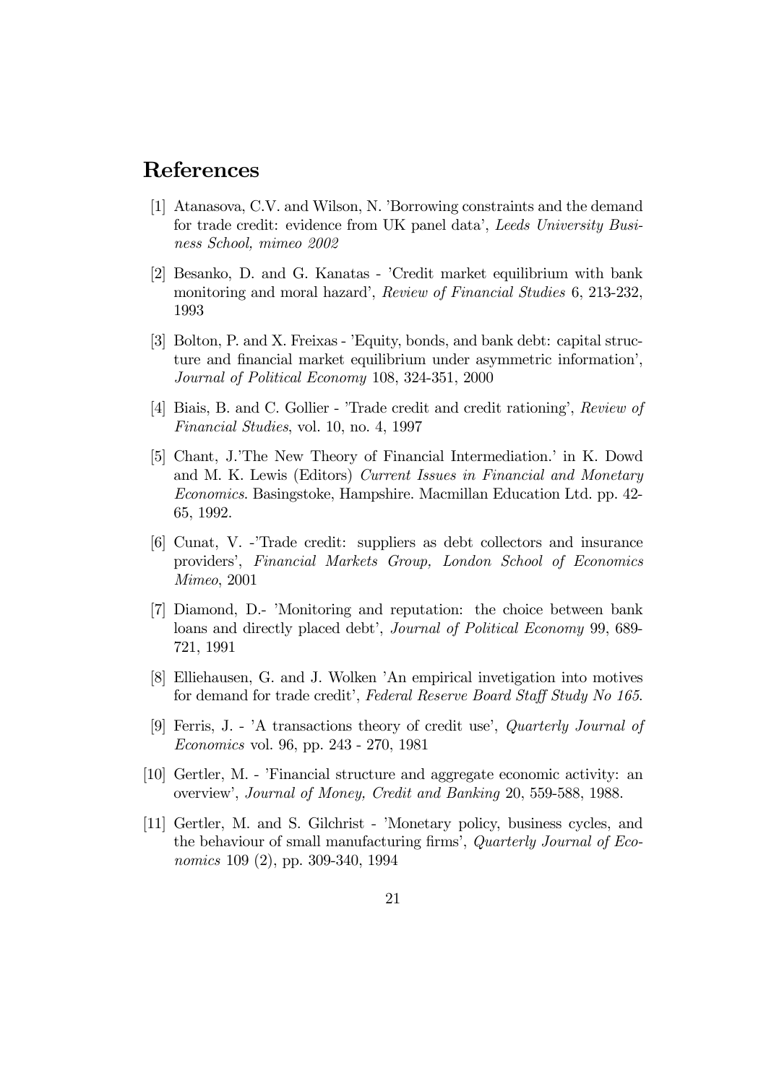# References

- [1] Atanasova, C.V. and Wilson, N. 'Borrowing constraints and the demand for trade credit: evidence from UK panel data', Leeds University Business School, mimeo 2002
- [2] Besanko, D. and G. Kanatas 'Credit market equilibrium with bank monitoring and moral hazard', Review of Financial Studies 6, 213-232, 1993
- [3] Bolton, P. and X. Freixas 'Equity, bonds, and bank debt: capital structure and financial market equilibrium under asymmetric information', Journal of Political Economy 108, 324-351, 2000
- [4] Biais, B. and C. Gollier 'Trade credit and credit rationing', Review of Financial Studies, vol. 10, no. 4, 1997
- [5] Chant, J.'The New Theory of Financial Intermediation.' in K. Dowd and M. K. Lewis (Editors) Current Issues in Financial and Monetary Economics. Basingstoke, Hampshire. Macmillan Education Ltd. pp. 42- 65, 1992.
- [6] Cunat, V. -'Trade credit: suppliers as debt collectors and insurance providers', Financial Markets Group, London School of Economics Mimeo, 2001
- [7] Diamond, D.- 'Monitoring and reputation: the choice between bank loans and directly placed debt', Journal of Political Economy 99, 689- 721, 1991
- [8] Elliehausen, G. and J. Wolken 'An empirical invetigation into motives for demand for trade credit', Federal Reserve Board Staff Study No 165.
- [9] Ferris, J. 'A transactions theory of credit use', Quarterly Journal of Economics vol. 96, pp. 243 - 270, 1981
- [10] Gertler, M. 'Financial structure and aggregate economic activity: an overview', Journal of Money, Credit and Banking 20, 559-588, 1988.
- [11] Gertler, M. and S. Gilchrist 'Monetary policy, business cycles, and the behaviour of small manufacturing firms', Quarterly Journal of Economics 109 (2), pp. 309-340, 1994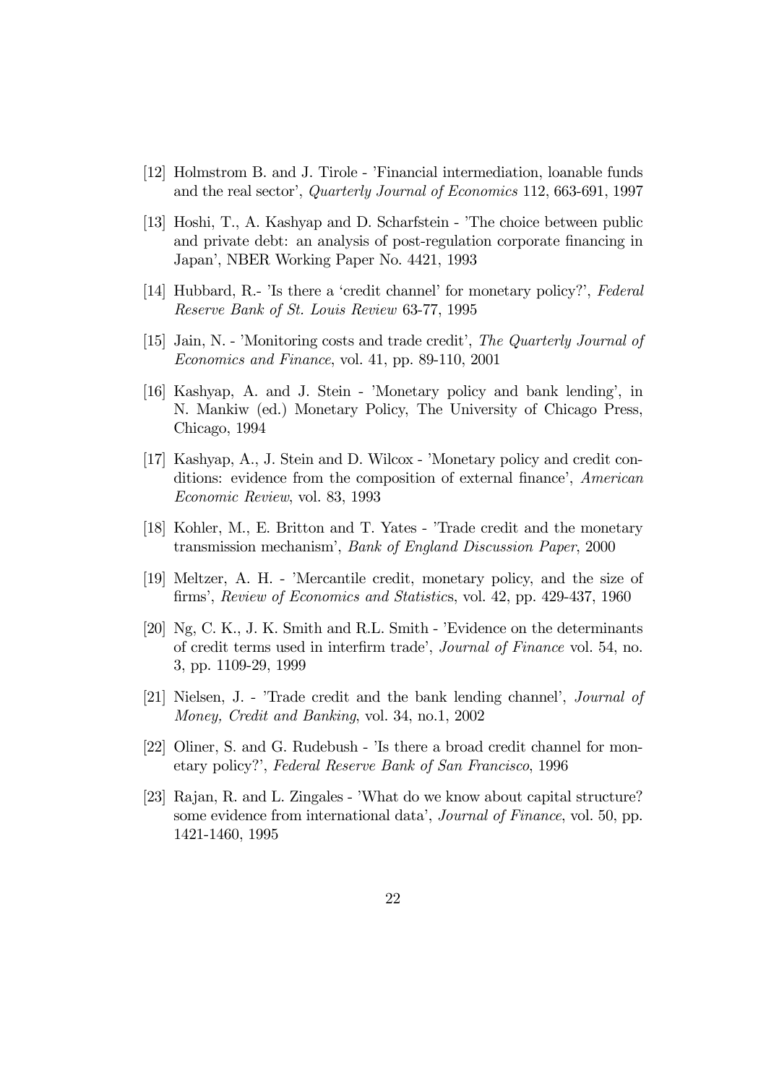- [12] Holmstrom B. and J. Tirole 'Financial intermediation, loanable funds and the real sector', Quarterly Journal of Economics 112, 663-691, 1997
- [13] Hoshi, T., A. Kashyap and D. Scharfstein 'The choice between public and private debt: an analysis of post-regulation corporate financing in Japan', NBER Working Paper No. 4421, 1993
- [14] Hubbard, R.- 'Is there a 'credit channel' for monetary policy?', Federal Reserve Bank of St. Louis Review 63-77, 1995
- [15] Jain, N. 'Monitoring costs and trade credit', The Quarterly Journal of Economics and Finance, vol. 41, pp. 89-110, 2001
- [16] Kashyap, A. and J. Stein 'Monetary policy and bank lending', in N. Mankiw (ed.) Monetary Policy, The University of Chicago Press, Chicago, 1994
- [17] Kashyap, A., J. Stein and D. Wilcox 'Monetary policy and credit conditions: evidence from the composition of external finance', American Economic Review, vol. 83, 1993
- [18] Kohler, M., E. Britton and T. Yates 'Trade credit and the monetary transmission mechanism', Bank of England Discussion Paper, 2000
- [19] Meltzer, A. H. 'Mercantile credit, monetary policy, and the size of firms', Review of Economics and Statistics, vol. 42, pp. 429-437, 1960
- [20] Ng, C. K., J. K. Smith and R.L. Smith 'Evidence on the determinants of credit terms used in interfirm trade', Journal of Finance vol. 54, no. 3, pp. 1109-29, 1999
- [21] Nielsen, J. 'Trade credit and the bank lending channel', Journal of Money, Credit and Banking, vol. 34, no.1, 2002
- [22] Oliner, S. and G. Rudebush 'Is there a broad credit channel for monetary policy?', Federal Reserve Bank of San Francisco, 1996
- [23] Rajan, R. and L. Zingales 'What do we know about capital structure? some evidence from international data', *Journal of Finance*, vol. 50, pp. 1421-1460, 1995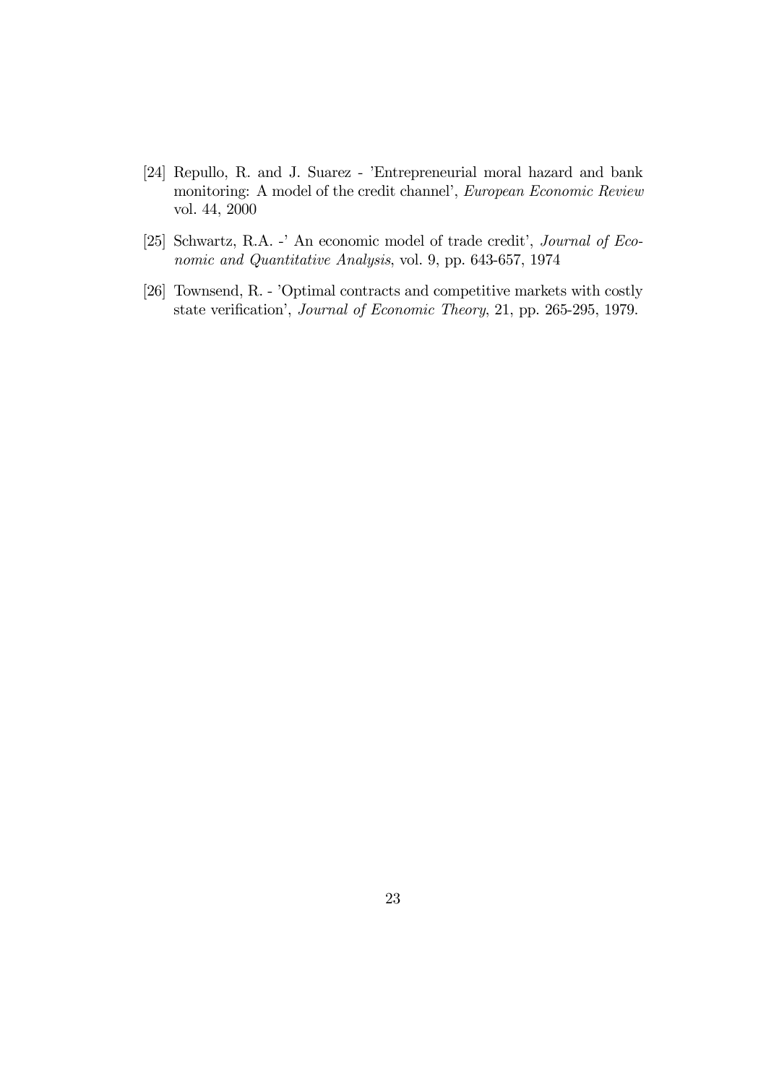- [24] Repullo, R. and J. Suarez 'Entrepreneurial moral hazard and bank monitoring: A model of the credit channel', European Economic Review vol. 44, 2000
- [25] Schwartz, R.A. -' An economic model of trade credit', Journal of Economic and Quantitative Analysis, vol. 9, pp. 643-657, 1974
- [26] Townsend, R. 'Optimal contracts and competitive markets with costly state verification', Journal of Economic Theory, 21, pp. 265-295, 1979.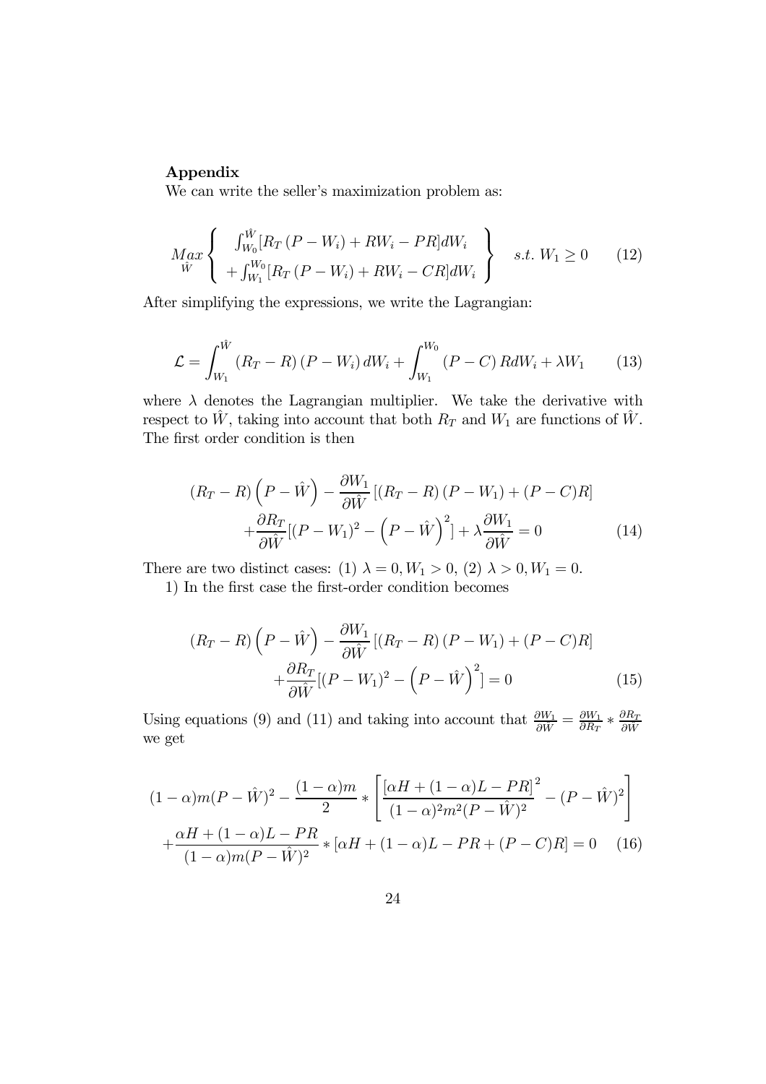#### Appendix

We can write the seller's maximization problem as:

$$
M_{ax} \left\{ \begin{array}{c} \int_{W_0}^{\hat{W}} [R_T (P - W_i) + RW_i - PR] dW_i \\ + \int_{W_1}^{W_0} [R_T (P - W_i) + RW_i - CR] dW_i \end{array} \right\} \quad s.t. \ W_1 \ge 0 \qquad (12)
$$

After simplifying the expressions, we write the Lagrangian:

$$
\mathcal{L} = \int_{W_1}^{\hat{W}} (R_T - R) (P - W_i) dW_i + \int_{W_1}^{W_0} (P - C) R dW_i + \lambda W_1 \tag{13}
$$

where  $\lambda$  denotes the Lagrangian multiplier. We take the derivative with respect to  $\hat{W}$ , taking into account that both  $R_T$  and  $W_1$  are functions of  $\hat{W}$ . The first order condition is then

$$
(R_T - R)\left(P - \hat{W}\right) - \frac{\partial W_1}{\partial \hat{W}}\left[ (R_T - R)(P - W_1) + (P - C)R \right] + \frac{\partial R_T}{\partial \hat{W}}\left[ (P - W_1)^2 - \left(P - \hat{W}\right)^2 \right] + \lambda \frac{\partial W_1}{\partial \hat{W}} = 0
$$
(14)

There are two distinct cases: (1)  $\lambda = 0, W_1 > 0, (2) \lambda > 0, W_1 = 0.$ 

1) In the first case the first-order condition becomes

$$
(R_T - R)\left(P - \hat{W}\right) - \frac{\partial W_1}{\partial \hat{W}}[(R_T - R)(P - W_1) + (P - C)R]
$$

$$
+ \frac{\partial R_T}{\partial \hat{W}}[(P - W_1)^2 - \left(P - \hat{W}\right)^2] = 0 \tag{15}
$$

Using equations (9) and (11) and taking into account that  $\frac{\partial W_1}{\partial \hat{W}} = \frac{\partial W_1}{\partial R_T} * \frac{\partial R_T}{\partial \hat{W}}$ we get

$$
(1 - \alpha)m(P - \hat{W})^2 - \frac{(1 - \alpha)m}{2} * \left[ \frac{[\alpha H + (1 - \alpha)L - PR]^2}{(1 - \alpha)^2 m^2 (P - \hat{W})^2} - (P - \hat{W})^2 \right] + \frac{\alpha H + (1 - \alpha)L - PR}{(1 - \alpha)m(P - \hat{W})^2} * [\alpha H + (1 - \alpha)L - PR + (P - C)R] = 0 \quad (16)
$$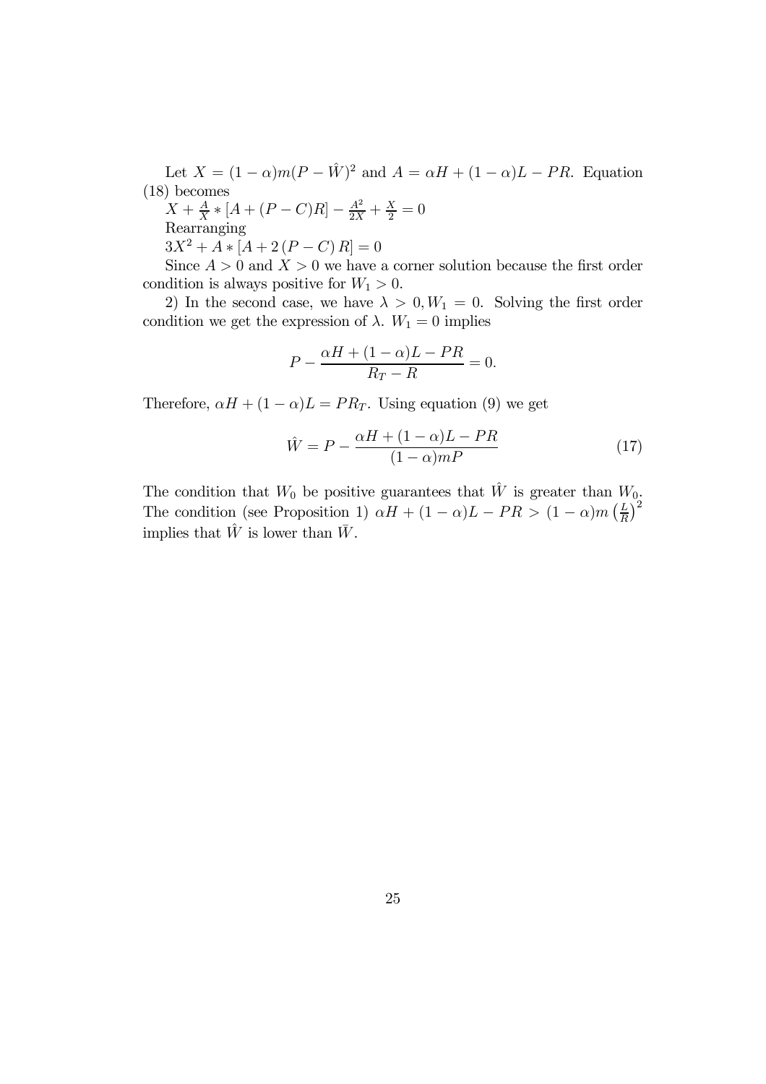Let  $X = (1 - \alpha)m(P - \hat{W})^2$  and  $A = \alpha H + (1 - \alpha)L - PR$ . Equation (18) becomes

 $(X + \frac{A}{X} * [A + (P - C)R] - \frac{A^2}{2X} + \frac{X}{2} = 0$ Rearranging

 $3X^2 + A * [A + 2(P - C) R] = 0$ 

Since  $A > 0$  and  $X > 0$  we have a corner solution because the first order condition is always positive for  $W_1 > 0$ .

2) In the second case, we have  $\lambda > 0, W_1 = 0$ . Solving the first order condition we get the expression of  $\lambda$ .  $W_1 = 0$  implies

$$
P - \frac{\alpha H + (1 - \alpha)L - PR}{R_T - R} = 0.
$$

Therefore,  $\alpha H + (1 - \alpha)L = PR_T$ . Using equation (9) we get

$$
\hat{W} = P - \frac{\alpha H + (1 - \alpha)L - PR}{(1 - \alpha)mP} \tag{17}
$$

The condition that  $W_0$  be positive guarantees that  $\hat{W}$  is greater than  $W_0$ . The condition (see Proposition 1)  $\alpha H + (1 - \alpha)L - PR > (1 - \alpha)m\left(\frac{L}{R}\right)^2$ implies that  $\hat{W}$  is lower than  $\bar{W}$ .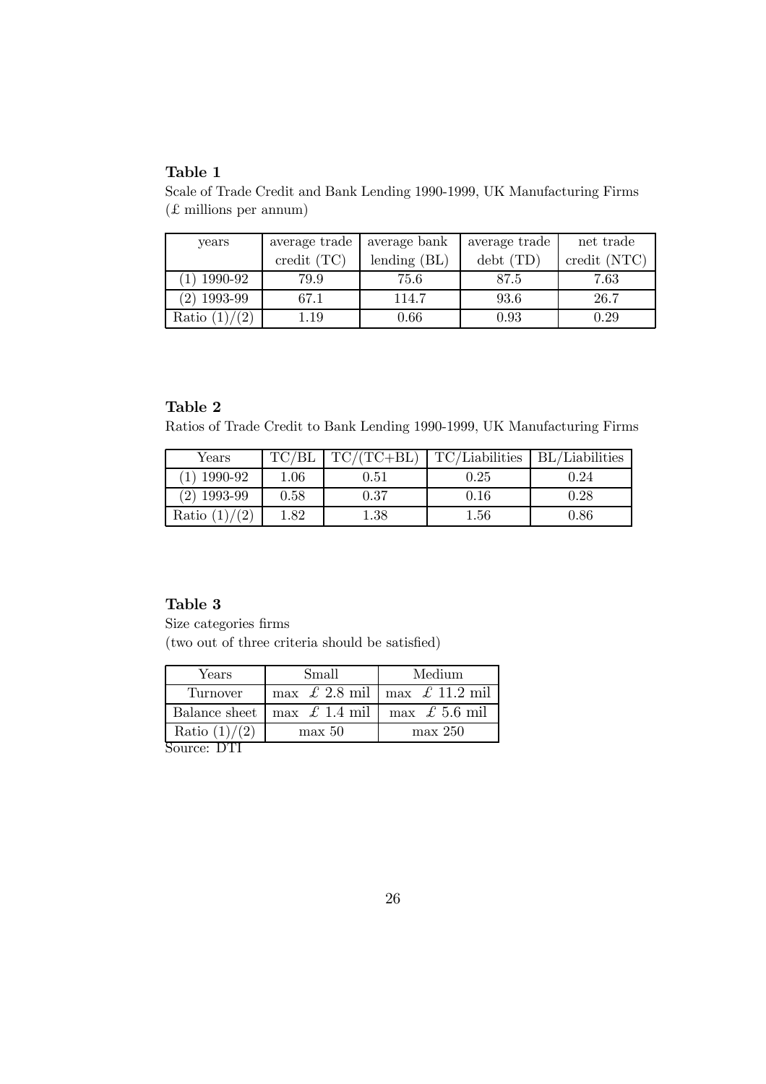Scale of Trade Credit and Bank Lending 1990-1999, UK Manufacturing Firms (£ millions per annum)

| years         | average trade              | average bank   | average trade | net trade    |
|---------------|----------------------------|----------------|---------------|--------------|
|               | $\text{credit}(\text{TC})$ | lending $(BL)$ | debt(TD)      | credit (NTC) |
| $(1)$ 1990-92 | 79.9                       | 75.6           | 87.5          | 7.63         |
| $(2)$ 1993-99 | 67.1                       | 114.7          | 93.6          | 26.7         |
| Ratio         | $1.19\,$                   | 0.66           | 0.93          | 0.29         |

### Table 2

Ratios of Trade Credit to Bank Lending 1990-1999, UK Manufacturing Firms

| $\gamma_{\rm ears}$ |            | $TC/(TC+BL)$ | TC/Liabilities | <b>BL</b> /Liabilities |
|---------------------|------------|--------------|----------------|------------------------|
| 1990-92             | $1.06\,$   | $\rm 0.51$   | $\rm 0.25$     | 0.24                   |
| 1993-99             | $\rm 0.58$ | 0.37         | $\rm 0.16$     | $\rm 0.28$             |
| Ratio               | .82        | 1.38         | 1.56           | $0.86\,$               |

#### Table 3

Size categories firms (two out of three criteria should be satisfied)

| Years                   | Small                      | Medium                                                    |  |
|-------------------------|----------------------------|-----------------------------------------------------------|--|
| Turnover                |                            | $\max \,\mathcal{L}$ 2.8 mil   max $\mathcal{L}$ 11.2 mil |  |
| Balance sheet           | $\max \tL 1.4 \text{ mil}$ | $\max \tL 5.6 \text{ mil}$                                |  |
| Ratio $(1)/(2)$         | max 50                     | max 250                                                   |  |
| $C_{\text{source}}$ DTI |                            |                                                           |  |

Source: DTI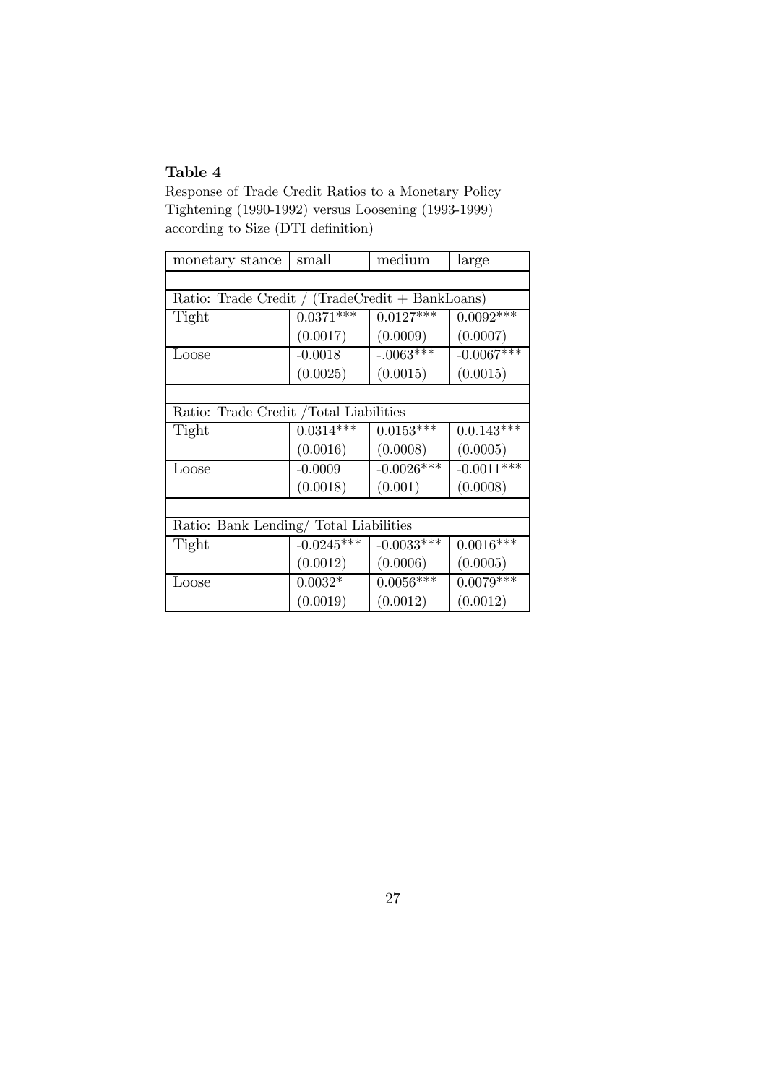Response of Trade Credit Ratios to a Monetary Policy Tightening (1990-1992) versus Loosening (1993-1999) according to Size (DTI definition)

| monetary stance                                 | small        | medium       | large        |  |  |
|-------------------------------------------------|--------------|--------------|--------------|--|--|
|                                                 |              |              |              |  |  |
| Ratio: Trade Credit / (TradeCredit + BankLoans) |              |              |              |  |  |
| Tight                                           | $0.0371***$  | $0.0127***$  | $0.0092***$  |  |  |
|                                                 | (0.0017)     | (0.0009)     | (0.0007)     |  |  |
| $_{\textrm{Loose}}$                             | $-0.0018$    | $-.0063***$  | $-0.0067***$ |  |  |
|                                                 | (0.0025)     | (0.0015)     | (0.0015)     |  |  |
|                                                 |              |              |              |  |  |
| Ratio: Trade Credit / Total Liabilities         |              |              |              |  |  |
| Tight                                           | $0.0314***$  | $0.0153***$  | $0.0.143***$ |  |  |
|                                                 | (0.0016)     | (0.0008)     | (0.0005)     |  |  |
| Loose                                           | $-0.0009$    | $-0.0026***$ | $-0.0011***$ |  |  |
|                                                 | (0.0018)     | (0.001)      | (0.0008)     |  |  |
|                                                 |              |              |              |  |  |
| Ratio: Bank Lending/ Total Liabilities          |              |              |              |  |  |
| Tight                                           | $-0.0245***$ | $-0.0033***$ | $0.0016***$  |  |  |
|                                                 | (0.0012)     | (0.0006)     | (0.0005)     |  |  |
| $_{\textrm{Loose}}$                             | $0.0032*$    | $0.0056***$  | $0.0079***$  |  |  |
|                                                 | (0.0019)     | (0.0012)     | (0.0012)     |  |  |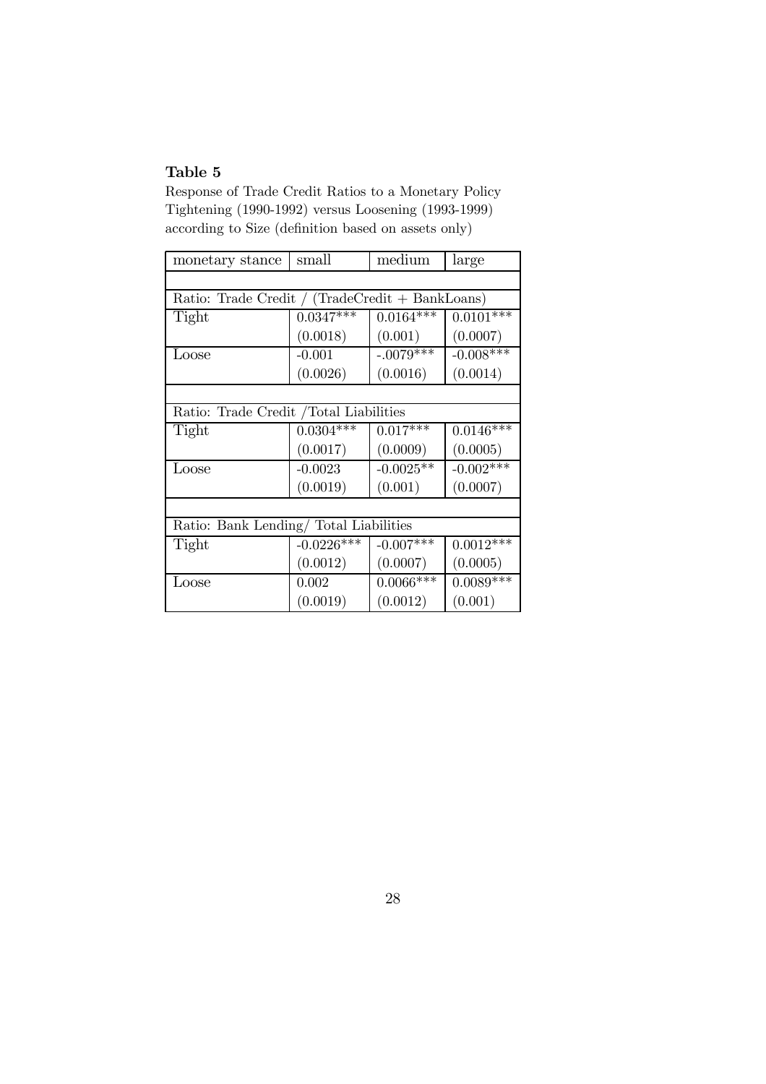Response of Trade Credit Ratios to a Monetary Policy Tightening (1990-1992) versus Loosening (1993-1999) according to Size (definition based on assets only)

| monetary stance                                 | small        | medium      | large       |  |  |
|-------------------------------------------------|--------------|-------------|-------------|--|--|
|                                                 |              |             |             |  |  |
| Ratio: Trade Credit / (TradeCredit + BankLoans) |              |             |             |  |  |
| Tight                                           | $0.0347***$  | $0.0164***$ | $0.0101***$ |  |  |
|                                                 | (0.0018)     | (0.001)     | (0.0007)    |  |  |
| Loose                                           | $-0.001$     | $-.0079***$ | $-0.008***$ |  |  |
|                                                 | (0.0026)     | (0.0016)    | (0.0014)    |  |  |
|                                                 |              |             |             |  |  |
| Ratio: Trade Credit / Total Liabilities         |              |             |             |  |  |
| Tight                                           | $0.0304***$  | $0.017***$  | $0.0146***$ |  |  |
|                                                 | (0.0017)     | (0.0009)    | (0.0005)    |  |  |
| Loose                                           | $-0.0023$    | $-0.0025**$ | $-0.002***$ |  |  |
|                                                 | (0.0019)     | (0.001)     | (0.0007)    |  |  |
|                                                 |              |             |             |  |  |
| Ratio: Bank Lending/ Total Liabilities          |              |             |             |  |  |
| Tight                                           | $-0.0226***$ | $-0.007***$ | $0.0012***$ |  |  |
|                                                 | (0.0012)     | (0.0007)    | (0.0005)    |  |  |
| $_{\text{Loose}}$                               | 0.002        | $0.0066***$ | $0.0089***$ |  |  |
|                                                 | (0.0019)     | (0.0012)    | (0.001)     |  |  |